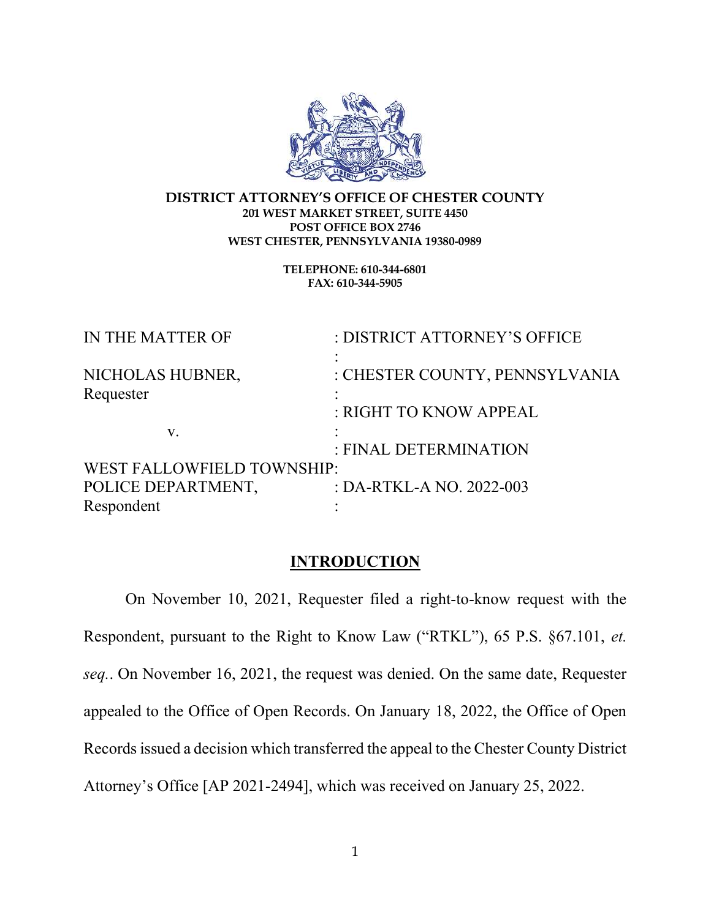

#### DISTRICT ATTORNEY'S OFFICE OF CHESTER COUNTY 201 WEST MARKET STREET, SUITE 4450 POST OFFICE BOX 2746 WEST CHESTER, PENNSYLVANIA 19380-0989

TELEPHONE: 610-344-6801 FAX: 610-344-5905

| IN THE MATTER OF           | : DISTRICT ATTORNEY'S OFFICE   |
|----------------------------|--------------------------------|
| NICHOLAS HUBNER,           | : CHESTER COUNTY, PENNSYLVANIA |
| Requester                  |                                |
|                            | : RIGHT TO KNOW APPEAL         |
| $V_{\rm A}$                |                                |
|                            | : FINAL DETERMINATION          |
| WEST FALLOWFIELD TOWNSHIP: |                                |
| POLICE DEPARTMENT,         | : DA-RTKL-A NO. 2022-003       |
| Respondent                 |                                |

#### **INTRODUCTION**

 On November 10, 2021, Requester filed a right-to-know request with the Respondent, pursuant to the Right to Know Law ("RTKL"), 65 P.S. §67.101, et. seq.. On November 16, 2021, the request was denied. On the same date, Requester appealed to the Office of Open Records. On January 18, 2022, the Office of Open Records issued a decision which transferred the appeal to the Chester County District Attorney's Office [AP 2021-2494], which was received on January 25, 2022.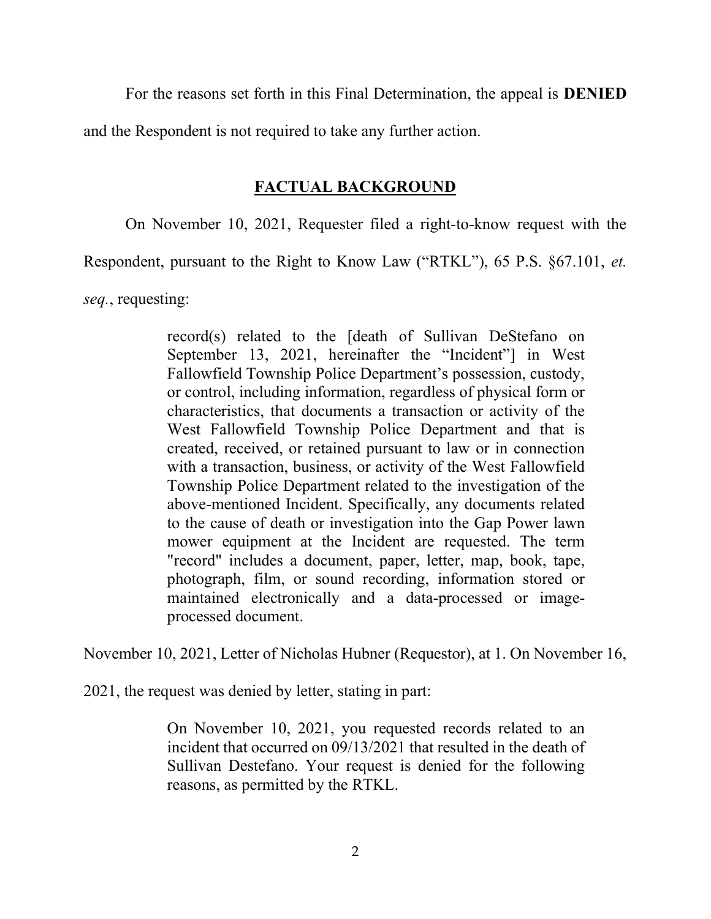For the reasons set forth in this Final Determination, the appeal is DENIED

and the Respondent is not required to take any further action.

# FACTUAL BACKGROUND

On November 10, 2021, Requester filed a right-to-know request with the

Respondent, pursuant to the Right to Know Law ("RTKL"), 65 P.S. §67.101, et.

seq., requesting:

record(s) related to the [death of Sullivan DeStefano on September 13, 2021, hereinafter the "Incident"] in West Fallowfield Township Police Department's possession, custody, or control, including information, regardless of physical form or characteristics, that documents a transaction or activity of the West Fallowfield Township Police Department and that is created, received, or retained pursuant to law or in connection with a transaction, business, or activity of the West Fallowfield Township Police Department related to the investigation of the above-mentioned Incident. Specifically, any documents related to the cause of death or investigation into the Gap Power lawn mower equipment at the Incident are requested. The term "record" includes a document, paper, letter, map, book, tape, photograph, film, or sound recording, information stored or maintained electronically and a data-processed or imageprocessed document.

November 10, 2021, Letter of Nicholas Hubner (Requestor), at 1. On November 16,

2021, the request was denied by letter, stating in part:

On November 10, 2021, you requested records related to an incident that occurred on 09/13/2021 that resulted in the death of Sullivan Destefano. Your request is denied for the following reasons, as permitted by the RTKL.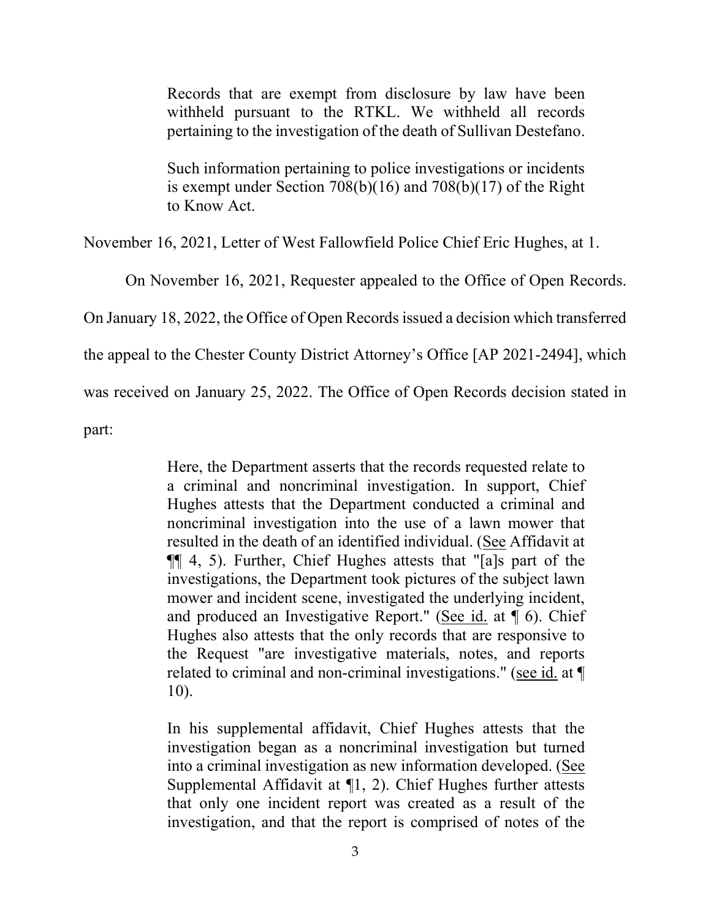Records that are exempt from disclosure by law have been withheld pursuant to the RTKL. We withheld all records pertaining to the investigation of the death of Sullivan Destefano.

Such information pertaining to police investigations or incidents is exempt under Section 708(b)(16) and 708(b)(17) of the Right to Know Act.

November 16, 2021, Letter of West Fallowfield Police Chief Eric Hughes, at 1.

On November 16, 2021, Requester appealed to the Office of Open Records.

On January 18, 2022, the Office of Open Records issued a decision which transferred

the appeal to the Chester County District Attorney's Office [AP 2021-2494], which

was received on January 25, 2022. The Office of Open Records decision stated in

part:

Here, the Department asserts that the records requested relate to a criminal and noncriminal investigation. In support, Chief Hughes attests that the Department conducted a criminal and noncriminal investigation into the use of a lawn mower that resulted in the death of an identified individual. (See Affidavit at ¶¶ 4, 5). Further, Chief Hughes attests that "[a]s part of the investigations, the Department took pictures of the subject lawn mower and incident scene, investigated the underlying incident, and produced an Investigative Report." (See id. at ¶ 6). Chief Hughes also attests that the only records that are responsive to the Request "are investigative materials, notes, and reports related to criminal and non-criminal investigations." (see id. at ¶ 10).

In his supplemental affidavit, Chief Hughes attests that the investigation began as a noncriminal investigation but turned into a criminal investigation as new information developed. (See Supplemental Affidavit at ¶1, 2). Chief Hughes further attests that only one incident report was created as a result of the investigation, and that the report is comprised of notes of the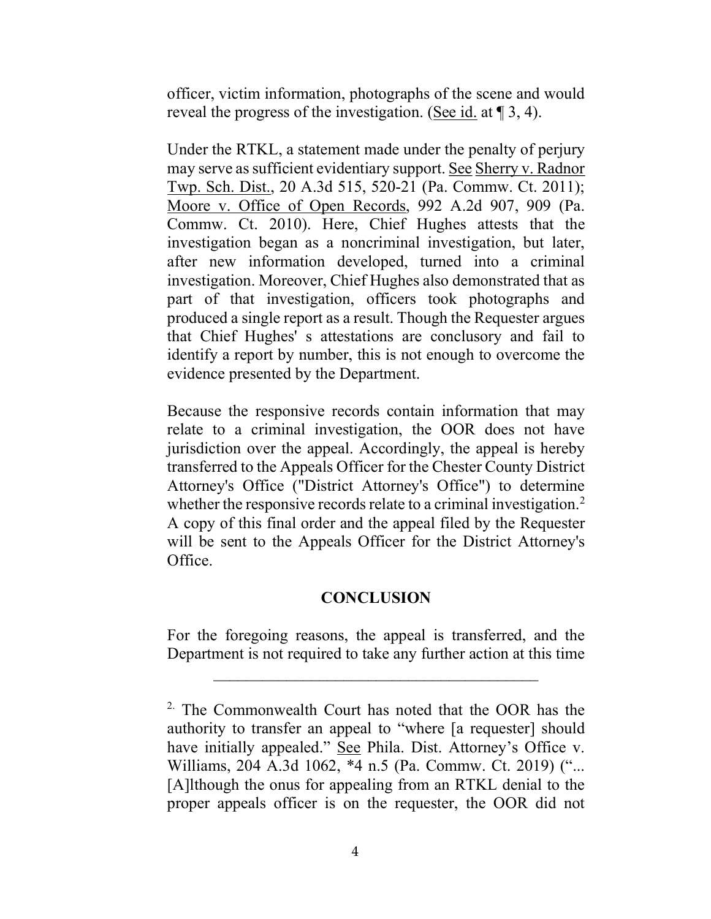officer, victim information, photographs of the scene and would reveal the progress of the investigation. (See id. at ¶ 3, 4).

Under the RTKL, a statement made under the penalty of perjury may serve as sufficient evidentiary support. See Sherry v. Radnor Twp. Sch. Dist., 20 A.3d 515, 520-21 (Pa. Commw. Ct. 2011); Moore v. Office of Open Records, 992 A.2d 907, 909 (Pa. Commw. Ct. 2010). Here, Chief Hughes attests that the investigation began as a noncriminal investigation, but later, after new information developed, turned into a criminal investigation. Moreover, Chief Hughes also demonstrated that as part of that investigation, officers took photographs and produced a single report as a result. Though the Requester argues that Chief Hughes' s attestations are conclusory and fail to identify a report by number, this is not enough to overcome the evidence presented by the Department.

Because the responsive records contain information that may relate to a criminal investigation, the OOR does not have jurisdiction over the appeal. Accordingly, the appeal is hereby transferred to the Appeals Officer for the Chester County District Attorney's Office ("District Attorney's Office") to determine whether the responsive records relate to a criminal investigation.<sup>2</sup> A copy of this final order and the appeal filed by the Requester will be sent to the Appeals Officer for the District Attorney's Office.

### **CONCLUSION**

For the foregoing reasons, the appeal is transferred, and the Department is not required to take any further action at this time

 $\mathcal{L}_\text{max}$  , and the set of the set of the set of the set of the set of the set of the set of the set of the set of the set of the set of the set of the set of the set of the set of the set of the set of the set of the

 $2\cdot$  The Commonwealth Court has noted that the OOR has the authority to transfer an appeal to "where [a requester] should have initially appealed." See Phila. Dist. Attorney's Office v. Williams, 204 A.3d 1062, \*4 n.5 (Pa. Commw. Ct. 2019) ("... [A]lthough the onus for appealing from an RTKL denial to the proper appeals officer is on the requester, the OOR did not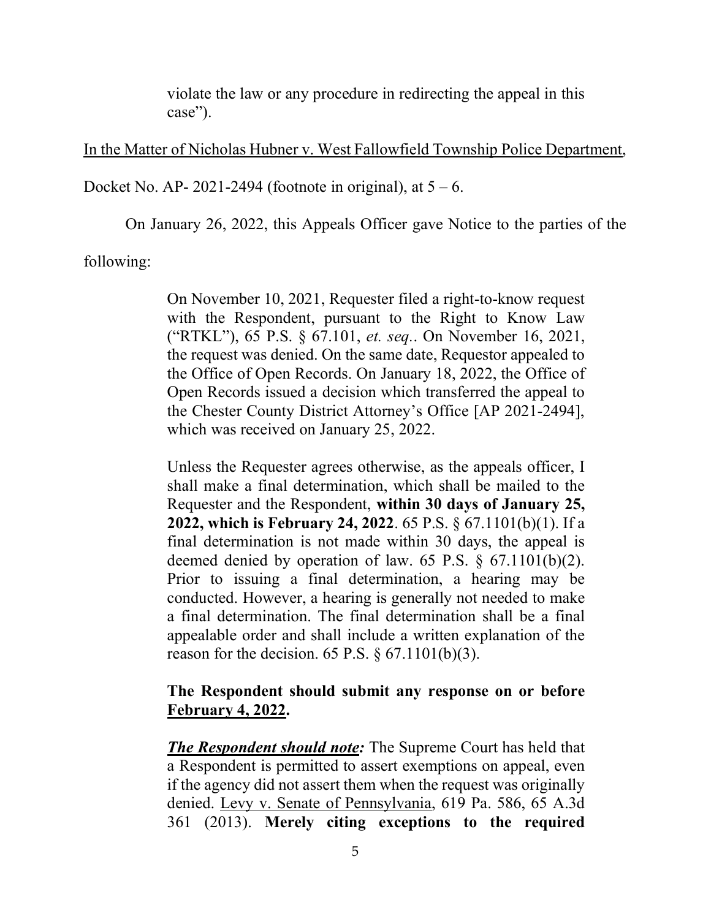violate the law or any procedure in redirecting the appeal in this case").

### In the Matter of Nicholas Hubner v. West Fallowfield Township Police Department,

Docket No. AP- 2021-2494 (footnote in original), at  $5 - 6$ .

On January 26, 2022, this Appeals Officer gave Notice to the parties of the

following:

On November 10, 2021, Requester filed a right-to-know request with the Respondent, pursuant to the Right to Know Law ("RTKL"), 65 P.S. § 67.101, et. seq.. On November 16, 2021, the request was denied. On the same date, Requestor appealed to the Office of Open Records. On January 18, 2022, the Office of Open Records issued a decision which transferred the appeal to the Chester County District Attorney's Office [AP 2021-2494], which was received on January 25, 2022.

Unless the Requester agrees otherwise, as the appeals officer, I shall make a final determination, which shall be mailed to the Requester and the Respondent, within 30 days of January 25, 2022, which is February 24, 2022. 65 P.S. § 67.1101(b)(1). If a final determination is not made within 30 days, the appeal is deemed denied by operation of law. 65 P.S. § 67.1101(b)(2). Prior to issuing a final determination, a hearing may be conducted. However, a hearing is generally not needed to make a final determination. The final determination shall be a final appealable order and shall include a written explanation of the reason for the decision. 65 P.S.  $\S$  67.1101(b)(3).

# The Respondent should submit any response on or before February 4, 2022.

**The Respondent should note:** The Supreme Court has held that a Respondent is permitted to assert exemptions on appeal, even if the agency did not assert them when the request was originally denied. Levy v. Senate of Pennsylvania, 619 Pa. 586, 65 A.3d 361 (2013). Merely citing exceptions to the required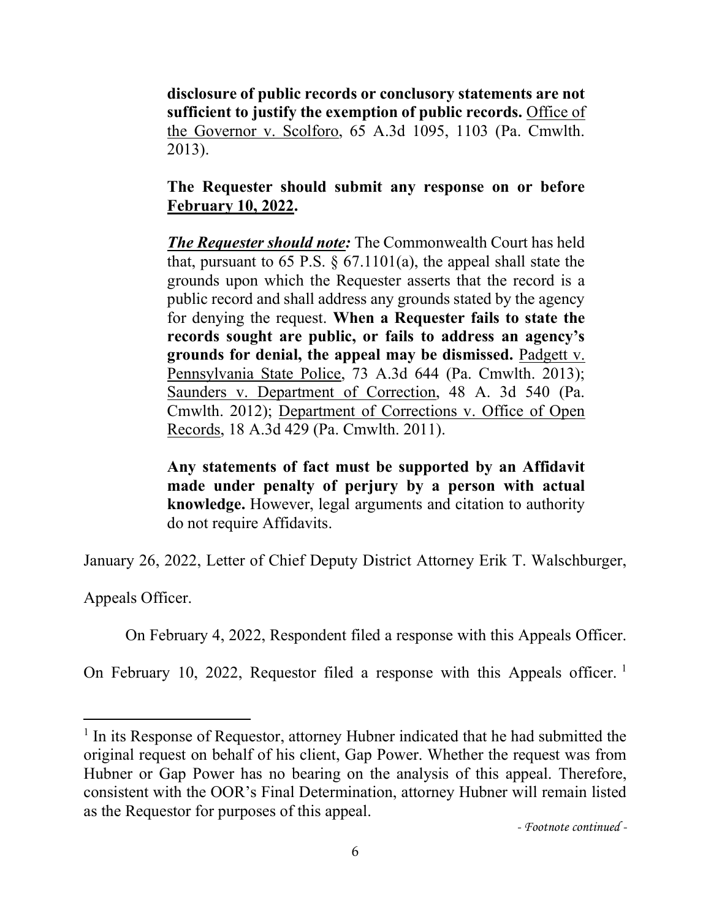disclosure of public records or conclusory statements are not sufficient to justify the exemption of public records. Office of the Governor v. Scolforo, 65 A.3d 1095, 1103 (Pa. Cmwlth. 2013).

# The Requester should submit any response on or before February 10, 2022.

The Requester should note: The Commonwealth Court has held that, pursuant to 65 P.S.  $\S$  67.1101(a), the appeal shall state the grounds upon which the Requester asserts that the record is a public record and shall address any grounds stated by the agency for denying the request. When a Requester fails to state the records sought are public, or fails to address an agency's grounds for denial, the appeal may be dismissed. Padgett v. Pennsylvania State Police, 73 A.3d 644 (Pa. Cmwlth. 2013); Saunders v. Department of Correction, 48 A. 3d 540 (Pa. Cmwlth. 2012); Department of Corrections v. Office of Open Records, 18 A.3d 429 (Pa. Cmwlth. 2011).

Any statements of fact must be supported by an Affidavit made under penalty of perjury by a person with actual knowledge. However, legal arguments and citation to authority do not require Affidavits.

January 26, 2022, Letter of Chief Deputy District Attorney Erik T. Walschburger,

Appeals Officer.

On February 4, 2022, Respondent filed a response with this Appeals Officer.

On February 10, 2022, Requestor filed a response with this Appeals officer.<sup>1</sup>

<sup>&</sup>lt;sup>1</sup> In its Response of Requestor, attorney Hubner indicated that he had submitted the original request on behalf of his client, Gap Power. Whether the request was from Hubner or Gap Power has no bearing on the analysis of this appeal. Therefore, consistent with the OOR's Final Determination, attorney Hubner will remain listed as the Requestor for purposes of this appeal.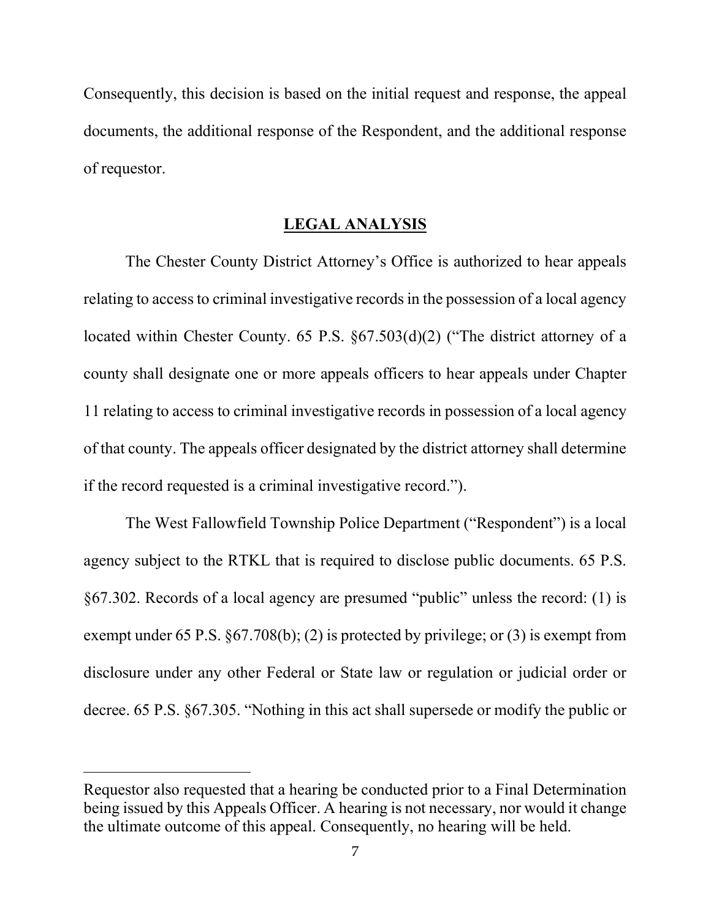Consequently, this decision is based on the initial request and response, the appeal documents, the additional response of the Respondent, and the additional response of requestor.

#### LEGAL ANALYSIS

 The Chester County District Attorney's Office is authorized to hear appeals relating to access to criminal investigative records in the possession of a local agency located within Chester County. 65 P.S. §67.503(d)(2) ("The district attorney of a county shall designate one or more appeals officers to hear appeals under Chapter 11 relating to access to criminal investigative records in possession of a local agency of that county. The appeals officer designated by the district attorney shall determine if the record requested is a criminal investigative record.").

 The West Fallowfield Township Police Department ("Respondent") is a local agency subject to the RTKL that is required to disclose public documents. 65 P.S. §67.302. Records of a local agency are presumed "public" unless the record: (1) is exempt under 65 P.S. §67.708(b); (2) is protected by privilege; or (3) is exempt from disclosure under any other Federal or State law or regulation or judicial order or decree. 65 P.S. §67.305. "Nothing in this act shall supersede or modify the public or

Requestor also requested that a hearing be conducted prior to a Final Determination being issued by this Appeals Officer. A hearing is not necessary, nor would it change the ultimate outcome of this appeal. Consequently, no hearing will be held.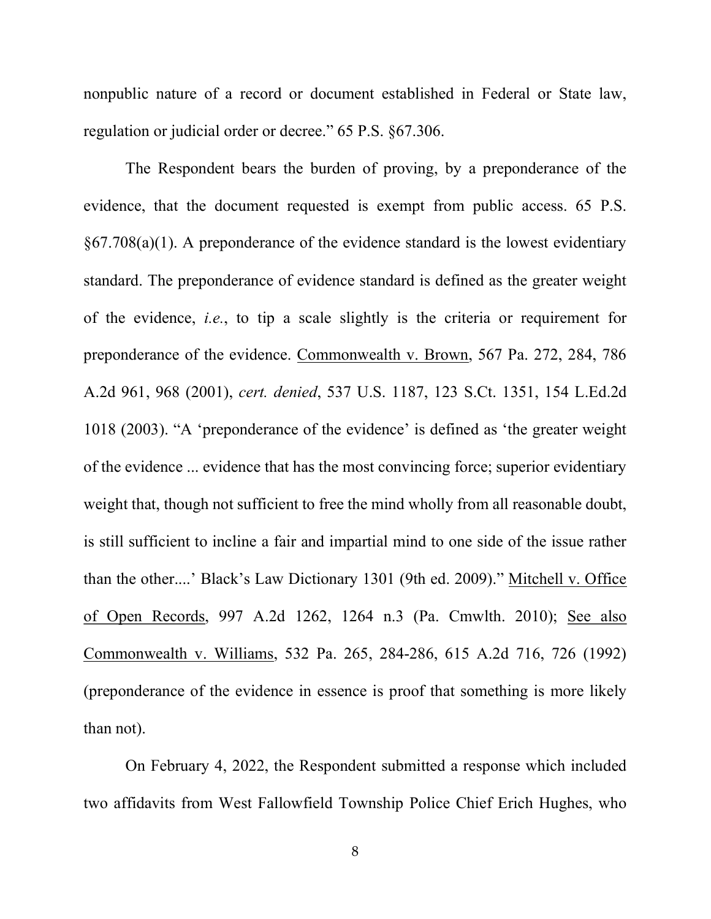nonpublic nature of a record or document established in Federal or State law, regulation or judicial order or decree." 65 P.S. §67.306.

 The Respondent bears the burden of proving, by a preponderance of the evidence, that the document requested is exempt from public access. 65 P.S.  $\S67.708(a)(1)$ . A preponderance of the evidence standard is the lowest evidentiary standard. The preponderance of evidence standard is defined as the greater weight of the evidence, i.e., to tip a scale slightly is the criteria or requirement for preponderance of the evidence. Commonwealth v. Brown, 567 Pa. 272, 284, 786 A.2d 961, 968 (2001), cert. denied, 537 U.S. 1187, 123 S.Ct. 1351, 154 L.Ed.2d 1018 (2003). "A 'preponderance of the evidence' is defined as 'the greater weight of the evidence ... evidence that has the most convincing force; superior evidentiary weight that, though not sufficient to free the mind wholly from all reasonable doubt, is still sufficient to incline a fair and impartial mind to one side of the issue rather than the other....' Black's Law Dictionary 1301 (9th ed. 2009)." Mitchell v. Office of Open Records, 997 A.2d 1262, 1264 n.3 (Pa. Cmwlth. 2010); See also Commonwealth v. Williams, 532 Pa. 265, 284-286, 615 A.2d 716, 726 (1992) (preponderance of the evidence in essence is proof that something is more likely than not).

 On February 4, 2022, the Respondent submitted a response which included two affidavits from West Fallowfield Township Police Chief Erich Hughes, who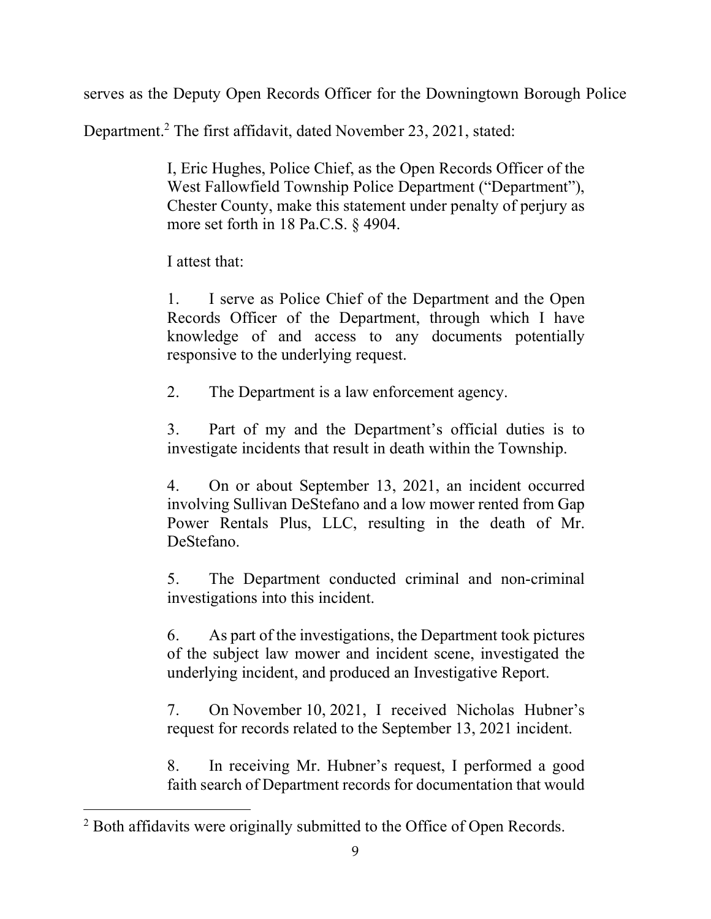serves as the Deputy Open Records Officer for the Downingtown Borough Police

Department.<sup>2</sup> The first affidavit, dated November 23, 2021, stated:

I, Eric Hughes, Police Chief, as the Open Records Officer of the West Fallowfield Township Police Department ("Department"), Chester County, make this statement under penalty of perjury as more set forth in 18 Pa.C.S. § 4904.

I attest that:

1. I serve as Police Chief of the Department and the Open Records Officer of the Department, through which I have knowledge of and access to any documents potentially responsive to the underlying request.

2. The Department is a law enforcement agency.

3. Part of my and the Department's official duties is to investigate incidents that result in death within the Township.

4. On or about September 13, 2021, an incident occurred involving Sullivan DeStefano and a low mower rented from Gap Power Rentals Plus, LLC, resulting in the death of Mr. DeStefano.

5. The Department conducted criminal and non-criminal investigations into this incident.

6. As part of the investigations, the Department took pictures of the subject law mower and incident scene, investigated the underlying incident, and produced an Investigative Report.

7. On November 10, 2021, I received Nicholas Hubner's request for records related to the September 13, 2021 incident.

8. In receiving Mr. Hubner's request, I performed a good faith search of Department records for documentation that would

 $2$  Both affidavits were originally submitted to the Office of Open Records.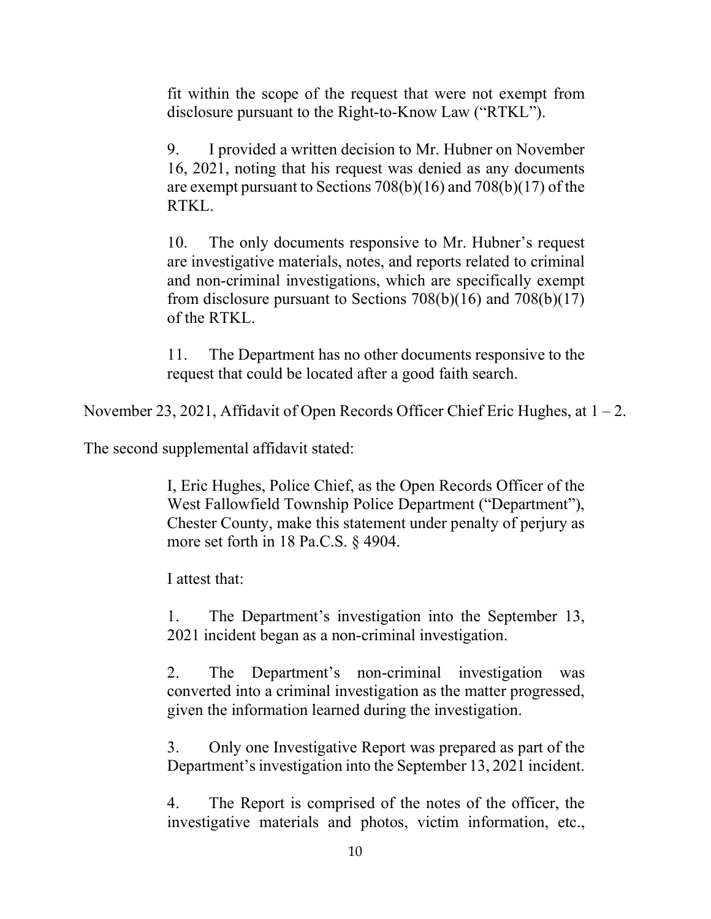fit within the scope of the request that were not exempt from disclosure pursuant to the Right-to-Know Law ("RTKL").

9. I provided a written decision to Mr. Hubner on November 16, 2021, noting that his request was denied as any documents are exempt pursuant to Sections 708(b)(16) and 708(b)(17) of the RTKL.

10. The only documents responsive to Mr. Hubner's request are investigative materials, notes, and reports related to criminal and non-criminal investigations, which are specifically exempt from disclosure pursuant to Sections  $708(b)(16)$  and  $708(b)(17)$ of the RTKL.

11. The Department has no other documents responsive to the request that could be located after a good faith search.

November 23, 2021, Affidavit of Open Records Officer Chief Eric Hughes, at  $1 - 2$ .

The second supplemental affidavit stated:

I, Eric Hughes, Police Chief, as the Open Records Officer of the West Fallowfield Township Police Department ("Department"), Chester County, make this statement under penalty of perjury as more set forth in 18 Pa.C.S. § 4904.

I attest that:

1. The Department's investigation into the September 13, 2021 incident began as a non-criminal investigation.

2. The Department's non-criminal investigation was converted into a criminal investigation as the matter progressed, given the information learned during the investigation.

3. Only one Investigative Report was prepared as part of the Department's investigation into the September 13, 2021 incident.

4. The Report is comprised of the notes of the officer, the investigative materials and photos, victim information, etc.,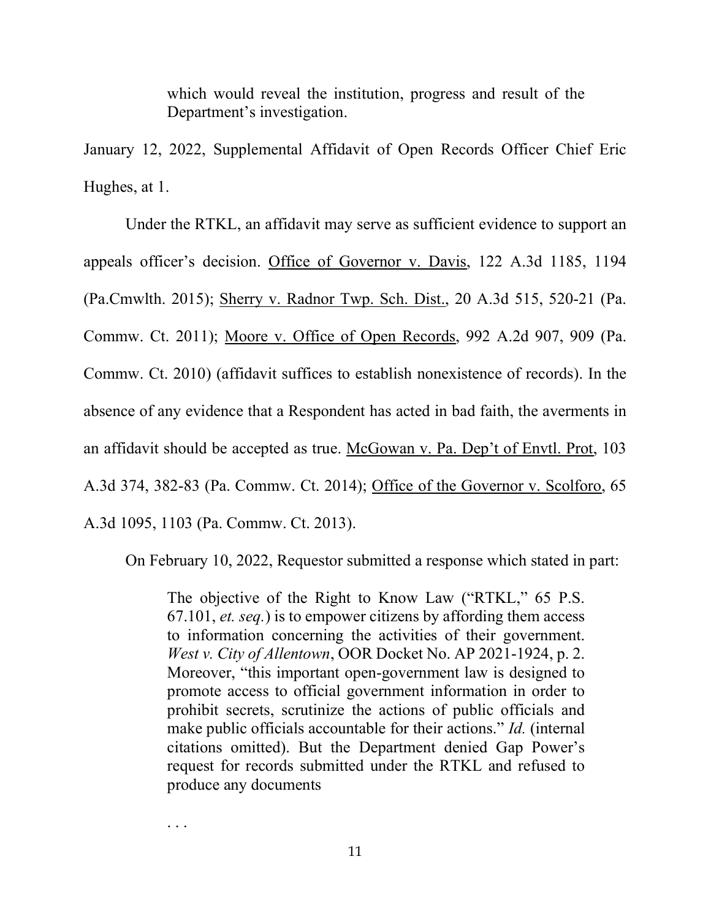which would reveal the institution, progress and result of the Department's investigation.

January 12, 2022, Supplemental Affidavit of Open Records Officer Chief Eric Hughes, at 1.

 Under the RTKL, an affidavit may serve as sufficient evidence to support an appeals officer's decision. Office of Governor v. Davis, 122 A.3d 1185, 1194 (Pa.Cmwlth. 2015); Sherry v. Radnor Twp. Sch. Dist., 20 A.3d 515, 520-21 (Pa. Commw. Ct. 2011); Moore v. Office of Open Records, 992 A.2d 907, 909 (Pa. Commw. Ct. 2010) (affidavit suffices to establish nonexistence of records). In the absence of any evidence that a Respondent has acted in bad faith, the averments in an affidavit should be accepted as true. McGowan v. Pa. Dep't of Envtl. Prot, 103 A.3d 374, 382-83 (Pa. Commw. Ct. 2014); Office of the Governor v. Scolforo, 65 A.3d 1095, 1103 (Pa. Commw. Ct. 2013).

On February 10, 2022, Requestor submitted a response which stated in part:

The objective of the Right to Know Law ("RTKL," 65 P.S. 67.101, et. seq.) is to empower citizens by affording them access to information concerning the activities of their government. West v. City of Allentown, OOR Docket No. AP 2021-1924, p. 2. Moreover, "this important open-government law is designed to promote access to official government information in order to prohibit secrets, scrutinize the actions of public officials and make public officials accountable for their actions." Id. (internal citations omitted). But the Department denied Gap Power's request for records submitted under the RTKL and refused to produce any documents

. . .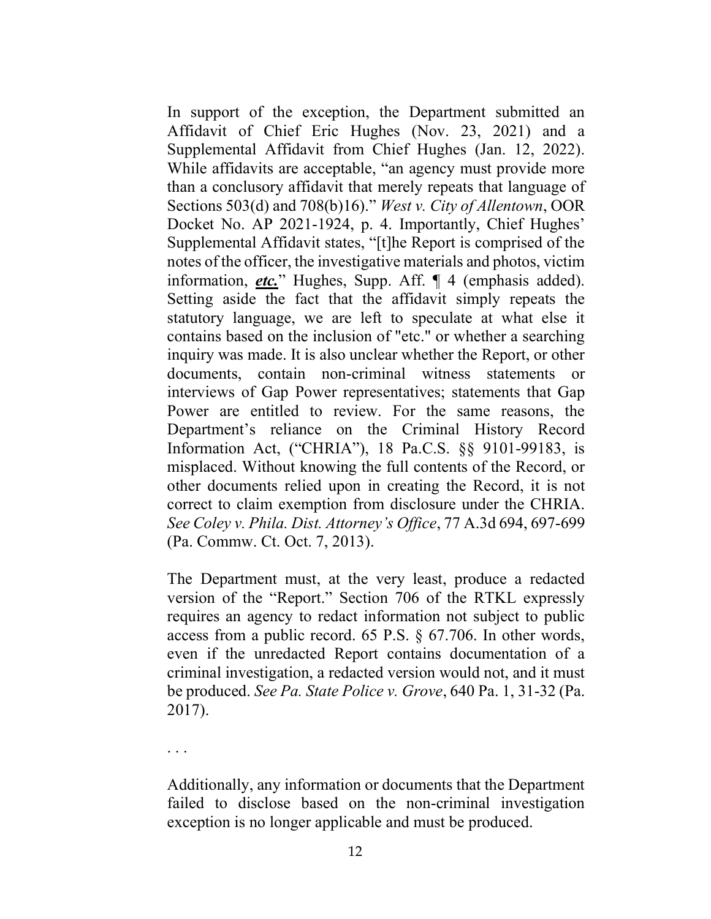In support of the exception, the Department submitted an Affidavit of Chief Eric Hughes (Nov. 23, 2021) and a Supplemental Affidavit from Chief Hughes (Jan. 12, 2022). While affidavits are acceptable, "an agency must provide more than a conclusory affidavit that merely repeats that language of Sections 503(d) and 708(b)16)." West v. City of Allentown, OOR Docket No. AP 2021-1924, p. 4. Importantly, Chief Hughes' Supplemental Affidavit states, "[t]he Report is comprised of the notes of the officer, the investigative materials and photos, victim information, *etc.*" Hughes, Supp. Aff.  $\P$  4 (emphasis added). Setting aside the fact that the affidavit simply repeats the statutory language, we are left to speculate at what else it contains based on the inclusion of "etc." or whether a searching inquiry was made. It is also unclear whether the Report, or other documents, contain non-criminal witness statements or interviews of Gap Power representatives; statements that Gap Power are entitled to review. For the same reasons, the Department's reliance on the Criminal History Record Information Act, ("CHRIA"), 18 Pa.C.S. §§ 9101-99183, is misplaced. Without knowing the full contents of the Record, or other documents relied upon in creating the Record, it is not correct to claim exemption from disclosure under the CHRIA. See Coley v. Phila. Dist. Attorney's Office, 77 A.3d 694, 697-699 (Pa. Commw. Ct. Oct. 7, 2013).

The Department must, at the very least, produce a redacted version of the "Report." Section 706 of the RTKL expressly requires an agency to redact information not subject to public access from a public record. 65 P.S. § 67.706. In other words, even if the unredacted Report contains documentation of a criminal investigation, a redacted version would not, and it must be produced. See Pa. State Police v. Grove, 640 Pa. 1, 31-32 (Pa. 2017).

. . .

Additionally, any information or documents that the Department failed to disclose based on the non-criminal investigation exception is no longer applicable and must be produced.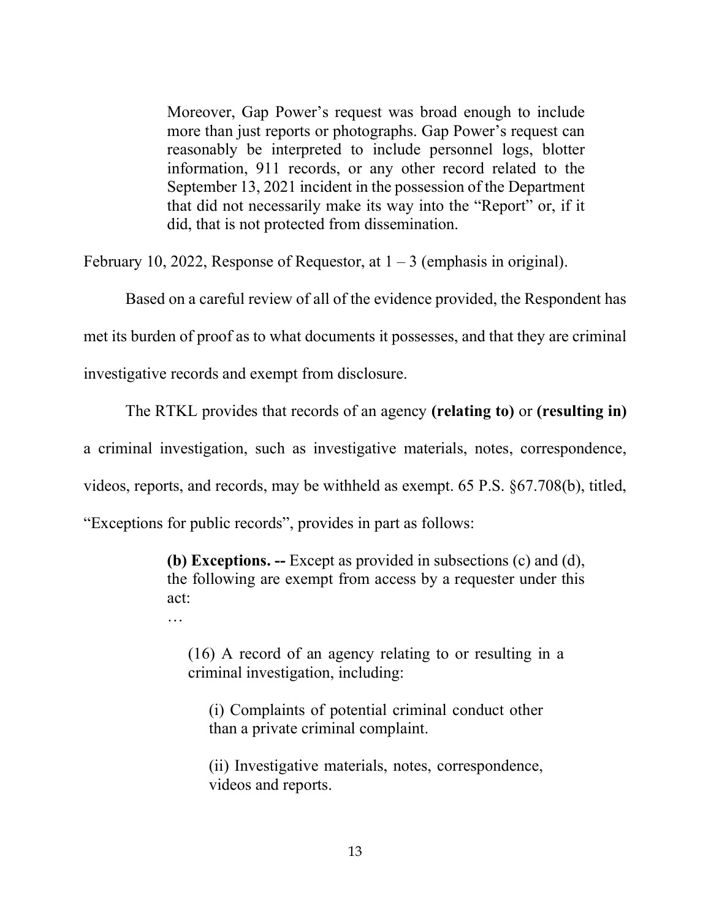Moreover, Gap Power's request was broad enough to include more than just reports or photographs. Gap Power's request can reasonably be interpreted to include personnel logs, blotter information, 911 records, or any other record related to the September 13, 2021 incident in the possession of the Department that did not necessarily make its way into the "Report" or, if it did, that is not protected from dissemination.

February 10, 2022, Response of Requestor, at  $1 - 3$  (emphasis in original).

 Based on a careful review of all of the evidence provided, the Respondent has met its burden of proof as to what documents it possesses, and that they are criminal investigative records and exempt from disclosure.

The RTKL provides that records of an agency (relating to) or (resulting in)

a criminal investigation, such as investigative materials, notes, correspondence,

videos, reports, and records, may be withheld as exempt. 65 P.S. §67.708(b), titled,

"Exceptions for public records", provides in part as follows:

…

(b) Exceptions. -- Except as provided in subsections (c) and (d), the following are exempt from access by a requester under this act:

(16) A record of an agency relating to or resulting in a criminal investigation, including:

(i) Complaints of potential criminal conduct other than a private criminal complaint.

(ii) Investigative materials, notes, correspondence, videos and reports.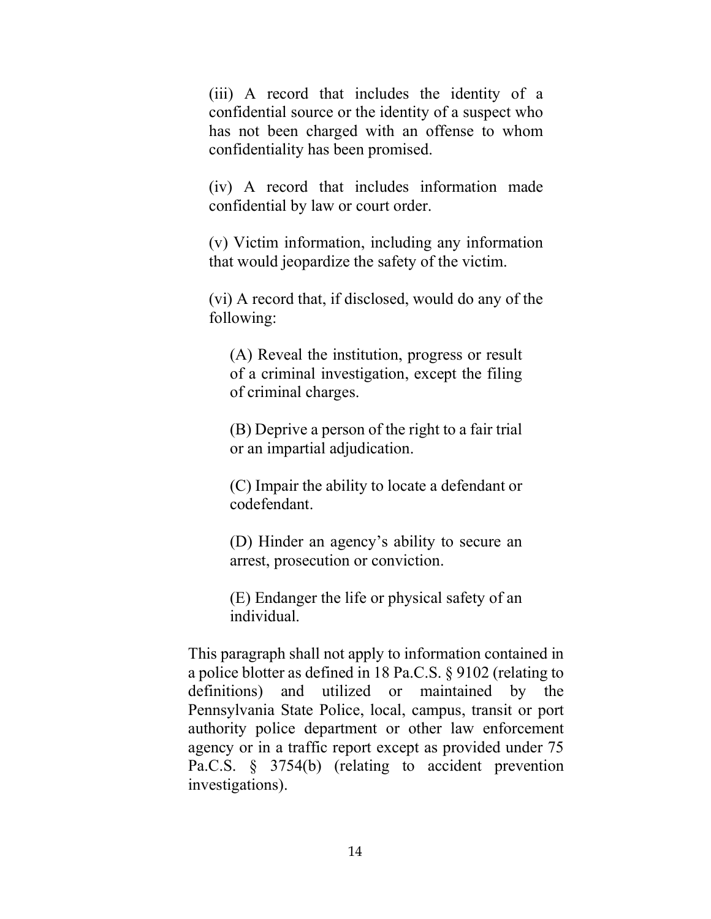(iii) A record that includes the identity of a confidential source or the identity of a suspect who has not been charged with an offense to whom confidentiality has been promised.

(iv) A record that includes information made confidential by law or court order.

(v) Victim information, including any information that would jeopardize the safety of the victim.

(vi) A record that, if disclosed, would do any of the following:

(A) Reveal the institution, progress or result of a criminal investigation, except the filing of criminal charges.

(B) Deprive a person of the right to a fair trial or an impartial adjudication.

(C) Impair the ability to locate a defendant or codefendant.

(D) Hinder an agency's ability to secure an arrest, prosecution or conviction.

(E) Endanger the life or physical safety of an individual.

This paragraph shall not apply to information contained in a police blotter as defined in 18 Pa.C.S. § 9102 (relating to definitions) and utilized or maintained by the Pennsylvania State Police, local, campus, transit or port authority police department or other law enforcement agency or in a traffic report except as provided under 75 Pa.C.S. § 3754(b) (relating to accident prevention investigations).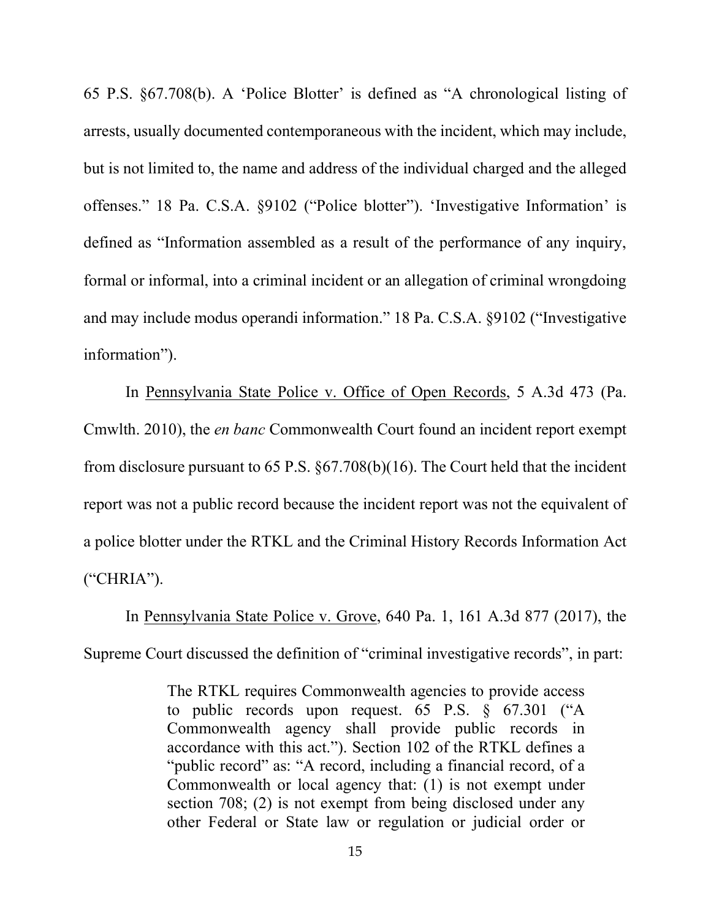65 P.S. §67.708(b). A 'Police Blotter' is defined as "A chronological listing of arrests, usually documented contemporaneous with the incident, which may include, but is not limited to, the name and address of the individual charged and the alleged offenses." 18 Pa. C.S.A. §9102 ("Police blotter"). 'Investigative Information' is defined as "Information assembled as a result of the performance of any inquiry, formal or informal, into a criminal incident or an allegation of criminal wrongdoing and may include modus operandi information." 18 Pa. C.S.A. §9102 ("Investigative information").

 In Pennsylvania State Police v. Office of Open Records, 5 A.3d 473 (Pa. Cmwlth. 2010), the en banc Commonwealth Court found an incident report exempt from disclosure pursuant to 65 P.S. §67.708(b)(16). The Court held that the incident report was not a public record because the incident report was not the equivalent of a police blotter under the RTKL and the Criminal History Records Information Act ("CHRIA").

 In Pennsylvania State Police v. Grove, 640 Pa. 1, 161 A.3d 877 (2017), the Supreme Court discussed the definition of "criminal investigative records", in part:

> The RTKL requires Commonwealth agencies to provide access to public records upon request. 65 P.S. § 67.301 ("A Commonwealth agency shall provide public records in accordance with this act."). Section 102 of the RTKL defines a "public record" as: "A record, including a financial record, of a Commonwealth or local agency that: (1) is not exempt under section 708; (2) is not exempt from being disclosed under any other Federal or State law or regulation or judicial order or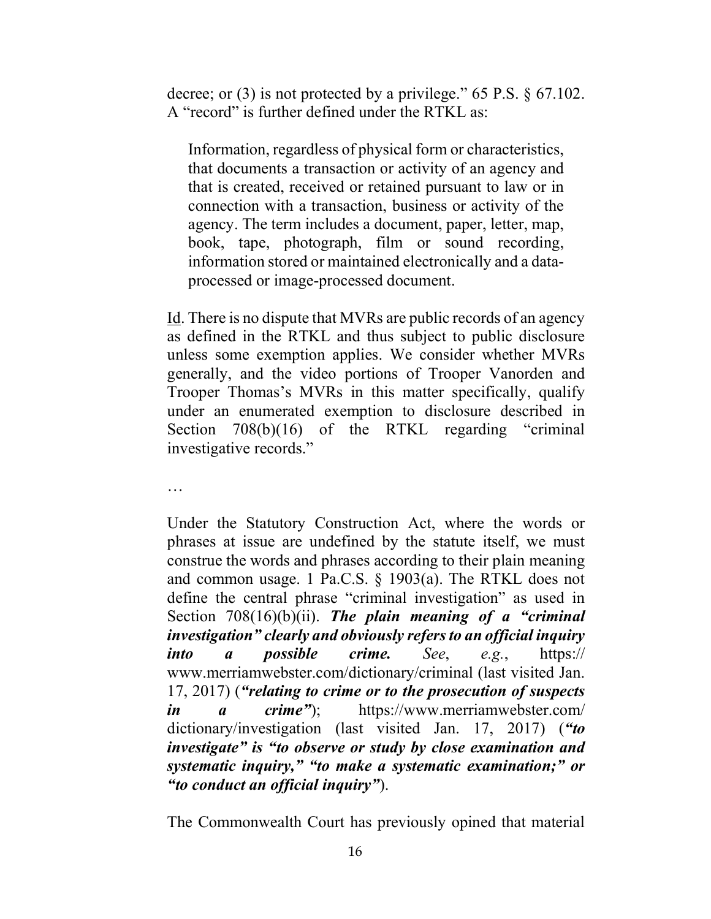decree; or (3) is not protected by a privilege." 65 P.S. § 67.102. A "record" is further defined under the RTKL as:

Information, regardless of physical form or characteristics, that documents a transaction or activity of an agency and that is created, received or retained pursuant to law or in connection with a transaction, business or activity of the agency. The term includes a document, paper, letter, map, book, tape, photograph, film or sound recording, information stored or maintained electronically and a dataprocessed or image-processed document.

Id. There is no dispute that MVRs are public records of an agency as defined in the RTKL and thus subject to public disclosure unless some exemption applies. We consider whether MVRs generally, and the video portions of Trooper Vanorden and Trooper Thomas's MVRs in this matter specifically, qualify under an enumerated exemption to disclosure described in Section 708(b)(16) of the RTKL regarding "criminal investigative records."

…

Under the Statutory Construction Act, where the words or phrases at issue are undefined by the statute itself, we must construe the words and phrases according to their plain meaning and common usage. 1 Pa.C.S. § 1903(a). The RTKL does not define the central phrase "criminal investigation" as used in Section  $708(16)(b)(ii)$ . The plain meaning of a "criminal" investigation" clearly and obviously refers to an official inquiry into a possible crime. See, e.g.,  $htips://$ www.merriamwebster.com/dictionary/criminal (last visited Jan. 17, 2017) ("relating to crime or to the prosecution of suspects in a crime"); https://www.merriamwebster.com/ dictionary/investigation (last visited Jan. 17, 2017) ("to investigate" is "to observe or study by close examination and systematic inquiry," "to make a systematic examination;" or "to conduct an official inquiry").

The Commonwealth Court has previously opined that material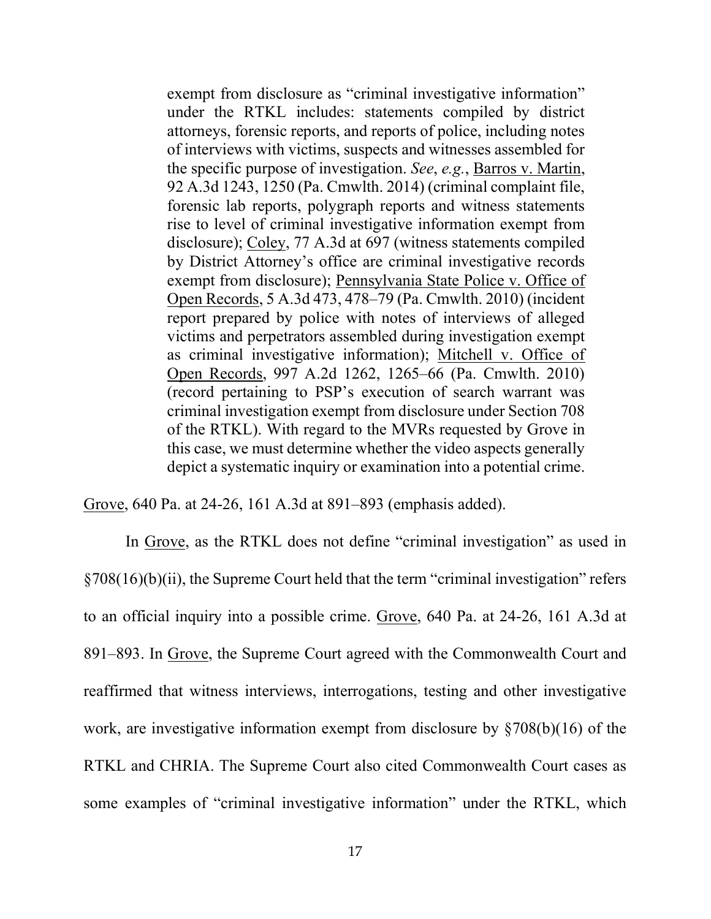exempt from disclosure as "criminal investigative information" under the RTKL includes: statements compiled by district attorneys, forensic reports, and reports of police, including notes of interviews with victims, suspects and witnesses assembled for the specific purpose of investigation. See, e.g., Barros v. Martin, 92 A.3d 1243, 1250 (Pa. Cmwlth. 2014) (criminal complaint file, forensic lab reports, polygraph reports and witness statements rise to level of criminal investigative information exempt from disclosure); Coley, 77 A.3d at 697 (witness statements compiled by District Attorney's office are criminal investigative records exempt from disclosure); Pennsylvania State Police v. Office of Open Records, 5 A.3d 473, 478–79 (Pa. Cmwlth. 2010) (incident report prepared by police with notes of interviews of alleged victims and perpetrators assembled during investigation exempt as criminal investigative information); Mitchell v. Office of Open Records, 997 A.2d 1262, 1265–66 (Pa. Cmwlth. 2010) (record pertaining to PSP's execution of search warrant was criminal investigation exempt from disclosure under Section 708 of the RTKL). With regard to the MVRs requested by Grove in this case, we must determine whether the video aspects generally depict a systematic inquiry or examination into a potential crime.

Grove, 640 Pa. at 24-26, 161 A.3d at 891–893 (emphasis added).

In Grove, as the RTKL does not define "criminal investigation" as used in §708(16)(b)(ii), the Supreme Court held that the term "criminal investigation" refers to an official inquiry into a possible crime. Grove, 640 Pa. at 24-26, 161 A.3d at 891–893. In Grove, the Supreme Court agreed with the Commonwealth Court and reaffirmed that witness interviews, interrogations, testing and other investigative work, are investigative information exempt from disclosure by §708(b)(16) of the RTKL and CHRIA. The Supreme Court also cited Commonwealth Court cases as some examples of "criminal investigative information" under the RTKL, which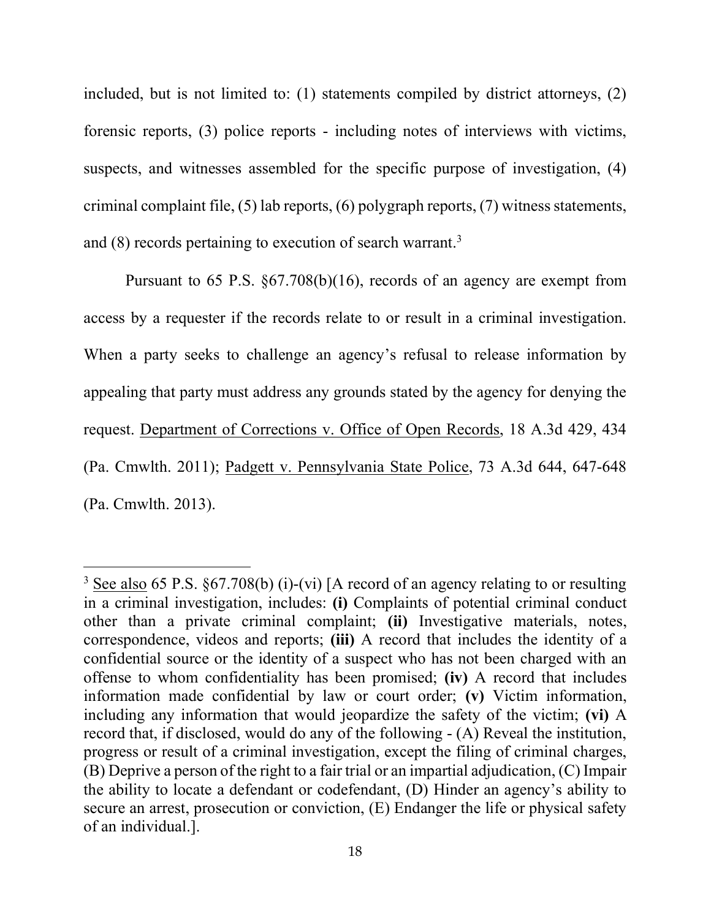included, but is not limited to: (1) statements compiled by district attorneys, (2) forensic reports, (3) police reports - including notes of interviews with victims, suspects, and witnesses assembled for the specific purpose of investigation, (4) criminal complaint file, (5) lab reports, (6) polygraph reports, (7) witness statements, and (8) records pertaining to execution of search warrant.<sup>3</sup>

 Pursuant to 65 P.S. §67.708(b)(16), records of an agency are exempt from access by a requester if the records relate to or result in a criminal investigation. When a party seeks to challenge an agency's refusal to release information by appealing that party must address any grounds stated by the agency for denying the request. Department of Corrections v. Office of Open Records, 18 A.3d 429, 434 (Pa. Cmwlth. 2011); Padgett v. Pennsylvania State Police, 73 A.3d 644, 647-648 (Pa. Cmwlth. 2013).

 $3 \text{ See also } 65 \text{ P.S. } §67.708(b)$  (i)-(vi) [A record of an agency relating to or resulting in a criminal investigation, includes: (i) Complaints of potential criminal conduct other than a private criminal complaint; (ii) Investigative materials, notes, correspondence, videos and reports; (iii) A record that includes the identity of a confidential source or the identity of a suspect who has not been charged with an offense to whom confidentiality has been promised; (iv) A record that includes information made confidential by law or court order; (v) Victim information, including any information that would jeopardize the safety of the victim; (vi) A record that, if disclosed, would do any of the following - (A) Reveal the institution, progress or result of a criminal investigation, except the filing of criminal charges, (B) Deprive a person of the right to a fair trial or an impartial adjudication, (C) Impair the ability to locate a defendant or codefendant, (D) Hinder an agency's ability to secure an arrest, prosecution or conviction, (E) Endanger the life or physical safety of an individual.].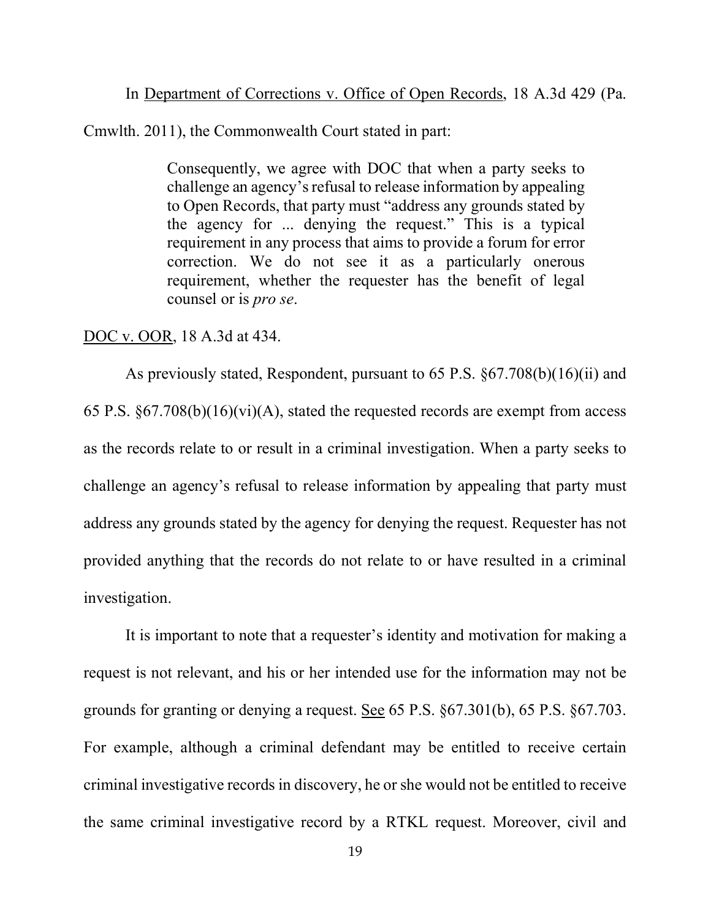In Department of Corrections v. Office of Open Records, 18 A.3d 429 (Pa.

Cmwlth. 2011), the Commonwealth Court stated in part:

Consequently, we agree with DOC that when a party seeks to challenge an agency's refusal to release information by appealing to Open Records, that party must "address any grounds stated by the agency for ... denying the request." This is a typical requirement in any process that aims to provide a forum for error correction. We do not see it as a particularly onerous requirement, whether the requester has the benefit of legal counsel or is pro se.

### DOC v. OOR, 18 A.3d at 434.

 As previously stated, Respondent, pursuant to 65 P.S. §67.708(b)(16)(ii) and 65 P.S.  $\S67.708(b)(16)(vi)(A)$ , stated the requested records are exempt from access as the records relate to or result in a criminal investigation. When a party seeks to challenge an agency's refusal to release information by appealing that party must address any grounds stated by the agency for denying the request. Requester has not provided anything that the records do not relate to or have resulted in a criminal investigation.

 It is important to note that a requester's identity and motivation for making a request is not relevant, and his or her intended use for the information may not be grounds for granting or denying a request. See 65 P.S. §67.301(b), 65 P.S. §67.703. For example, although a criminal defendant may be entitled to receive certain criminal investigative records in discovery, he or she would not be entitled to receive the same criminal investigative record by a RTKL request. Moreover, civil and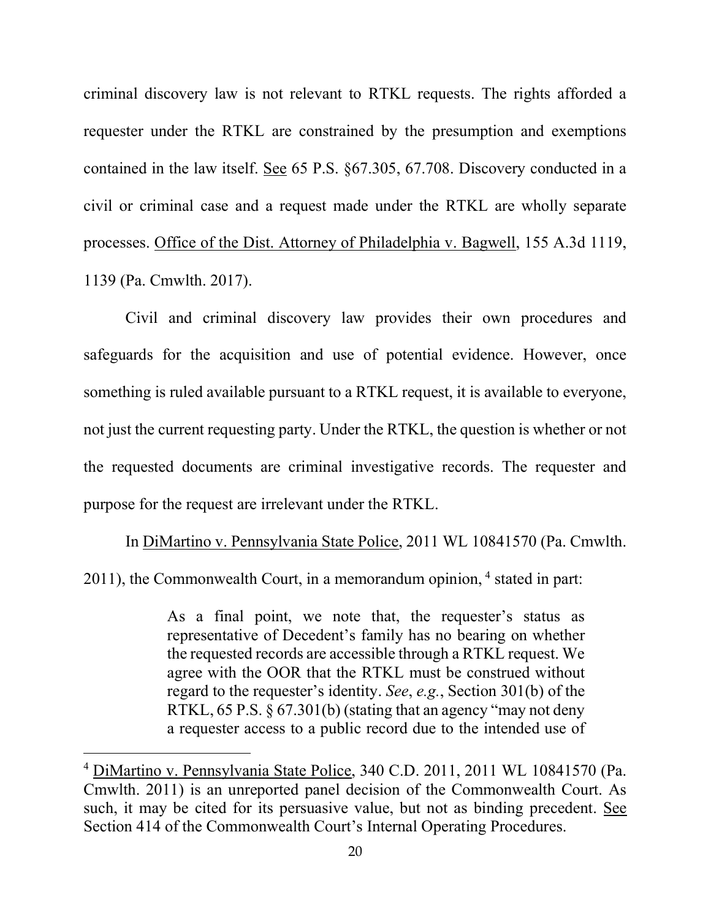criminal discovery law is not relevant to RTKL requests. The rights afforded a requester under the RTKL are constrained by the presumption and exemptions contained in the law itself. See 65 P.S. §67.305, 67.708. Discovery conducted in a civil or criminal case and a request made under the RTKL are wholly separate processes. Office of the Dist. Attorney of Philadelphia v. Bagwell, 155 A.3d 1119, 1139 (Pa. Cmwlth. 2017).

 Civil and criminal discovery law provides their own procedures and safeguards for the acquisition and use of potential evidence. However, once something is ruled available pursuant to a RTKL request, it is available to everyone, not just the current requesting party. Under the RTKL, the question is whether or not the requested documents are criminal investigative records. The requester and purpose for the request are irrelevant under the RTKL.

 In DiMartino v. Pennsylvania State Police, 2011 WL 10841570 (Pa. Cmwlth.  $2011$ ), the Commonwealth Court, in a memorandum opinion,  $4$  stated in part:

> As a final point, we note that, the requester's status as representative of Decedent's family has no bearing on whether the requested records are accessible through a RTKL request. We agree with the OOR that the RTKL must be construed without regard to the requester's identity. See, e.g., Section 301(b) of the RTKL, 65 P.S. § 67.301(b) (stating that an agency "may not deny a requester access to a public record due to the intended use of

<sup>&</sup>lt;sup>4</sup> DiMartino v. Pennsylvania State Police, 340 C.D. 2011, 2011 WL 10841570 (Pa. Cmwlth. 2011) is an unreported panel decision of the Commonwealth Court. As such, it may be cited for its persuasive value, but not as binding precedent. See Section 414 of the Commonwealth Court's Internal Operating Procedures.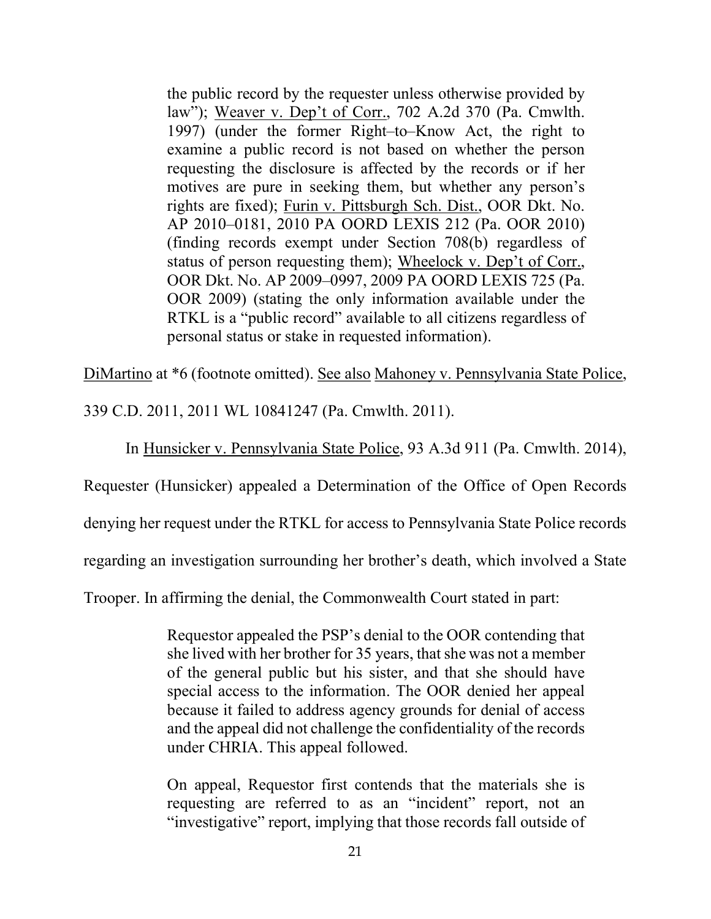the public record by the requester unless otherwise provided by law"); Weaver v. Dep't of Corr., 702 A.2d 370 (Pa. Cmwlth. 1997) (under the former Right–to–Know Act, the right to examine a public record is not based on whether the person requesting the disclosure is affected by the records or if her motives are pure in seeking them, but whether any person's rights are fixed); Furin v. Pittsburgh Sch. Dist., OOR Dkt. No. AP 2010–0181, 2010 PA OORD LEXIS 212 (Pa. OOR 2010) (finding records exempt under Section 708(b) regardless of status of person requesting them); Wheelock v. Dep't of Corr., OOR Dkt. No. AP 2009–0997, 2009 PA OORD LEXIS 725 (Pa. OOR 2009) (stating the only information available under the RTKL is a "public record" available to all citizens regardless of personal status or stake in requested information).

DiMartino at \*6 (footnote omitted). See also Mahoney v. Pennsylvania State Police,

339 C.D. 2011, 2011 WL 10841247 (Pa. Cmwlth. 2011).

In Hunsicker v. Pennsylvania State Police, 93 A.3d 911 (Pa. Cmwlth. 2014),

Requester (Hunsicker) appealed a Determination of the Office of Open Records

denying her request under the RTKL for access to Pennsylvania State Police records

regarding an investigation surrounding her brother's death, which involved a State

Trooper. In affirming the denial, the Commonwealth Court stated in part:

Requestor appealed the PSP's denial to the OOR contending that she lived with her brother for 35 years, that she was not a member of the general public but his sister, and that she should have special access to the information. The OOR denied her appeal because it failed to address agency grounds for denial of access and the appeal did not challenge the confidentiality of the records under CHRIA. This appeal followed.

On appeal, Requestor first contends that the materials she is requesting are referred to as an "incident" report, not an "investigative" report, implying that those records fall outside of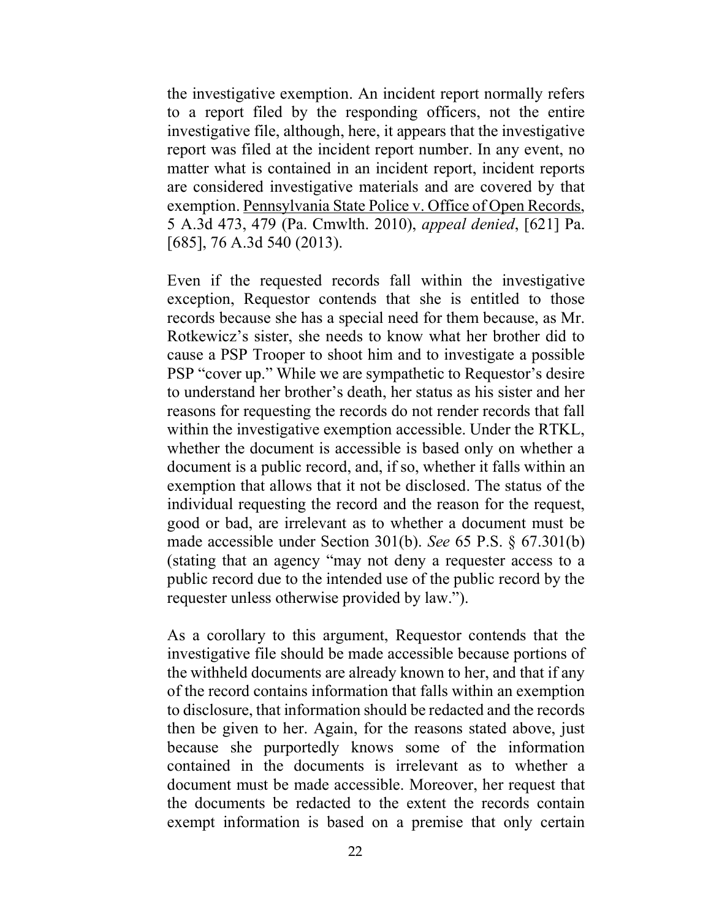the investigative exemption. An incident report normally refers to a report filed by the responding officers, not the entire investigative file, although, here, it appears that the investigative report was filed at the incident report number. In any event, no matter what is contained in an incident report, incident reports are considered investigative materials and are covered by that exemption. Pennsylvania State Police v. Office of Open Records, 5 A.3d 473, 479 (Pa. Cmwlth. 2010), appeal denied, [621] Pa. [685], 76 A.3d 540 (2013).

Even if the requested records fall within the investigative exception, Requestor contends that she is entitled to those records because she has a special need for them because, as Mr. Rotkewicz's sister, she needs to know what her brother did to cause a PSP Trooper to shoot him and to investigate a possible PSP "cover up." While we are sympathetic to Requestor's desire to understand her brother's death, her status as his sister and her reasons for requesting the records do not render records that fall within the investigative exemption accessible. Under the RTKL, whether the document is accessible is based only on whether a document is a public record, and, if so, whether it falls within an exemption that allows that it not be disclosed. The status of the individual requesting the record and the reason for the request, good or bad, are irrelevant as to whether a document must be made accessible under Section 301(b). See 65 P.S. § 67.301(b) (stating that an agency "may not deny a requester access to a public record due to the intended use of the public record by the requester unless otherwise provided by law.").

As a corollary to this argument, Requestor contends that the investigative file should be made accessible because portions of the withheld documents are already known to her, and that if any of the record contains information that falls within an exemption to disclosure, that information should be redacted and the records then be given to her. Again, for the reasons stated above, just because she purportedly knows some of the information contained in the documents is irrelevant as to whether a document must be made accessible. Moreover, her request that the documents be redacted to the extent the records contain exempt information is based on a premise that only certain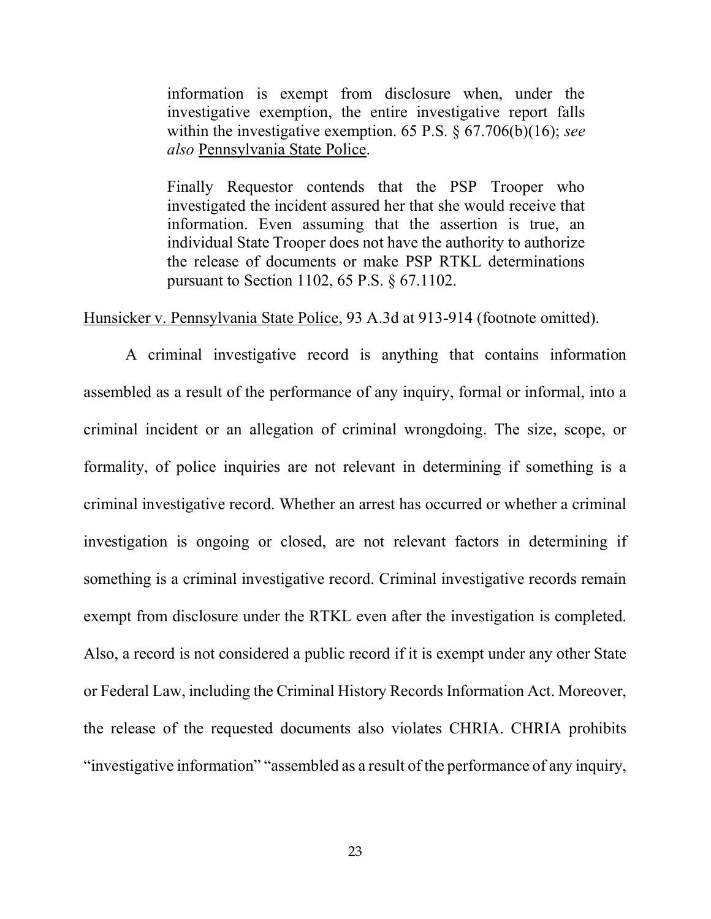information is exempt from disclosure when, under the investigative exemption, the entire investigative report falls within the investigative exemption. 65 P.S.  $\S$  67.706(b)(16); see also Pennsylvania State Police.

Finally Requestor contends that the PSP Trooper who investigated the incident assured her that she would receive that information. Even assuming that the assertion is true, an individual State Trooper does not have the authority to authorize the release of documents or make PSP RTKL determinations pursuant to Section 1102, 65 P.S. § 67.1102.

Hunsicker v. Pennsylvania State Police, 93 A.3d at 913-914 (footnote omitted).

 A criminal investigative record is anything that contains information assembled as a result of the performance of any inquiry, formal or informal, into a criminal incident or an allegation of criminal wrongdoing. The size, scope, or formality, of police inquiries are not relevant in determining if something is a criminal investigative record. Whether an arrest has occurred or whether a criminal investigation is ongoing or closed, are not relevant factors in determining if something is a criminal investigative record. Criminal investigative records remain exempt from disclosure under the RTKL even after the investigation is completed. Also, a record is not considered a public record if it is exempt under any other State or Federal Law, including the Criminal History Records Information Act. Moreover, the release of the requested documents also violates CHRIA. CHRIA prohibits "investigative information" "assembled as a result of the performance of any inquiry,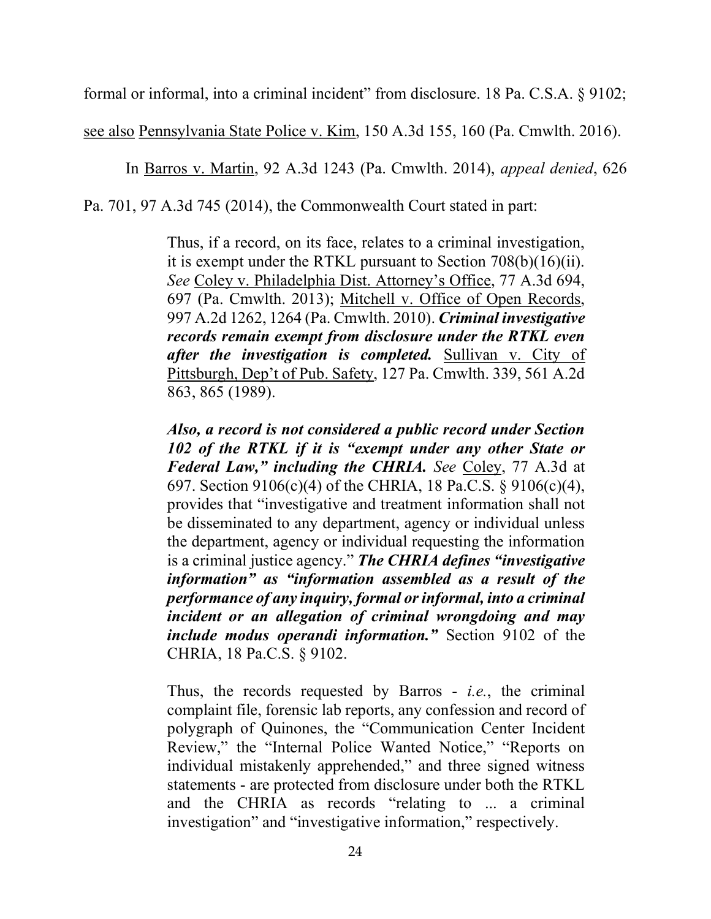formal or informal, into a criminal incident" from disclosure. 18 Pa. C.S.A. § 9102;

see also Pennsylvania State Police v. Kim, 150 A.3d 155, 160 (Pa. Cmwlth. 2016).

In Barros v. Martin, 92 A.3d 1243 (Pa. Cmwlth. 2014), appeal denied, 626

Pa. 701, 97 A.3d 745 (2014), the Commonwealth Court stated in part:

Thus, if a record, on its face, relates to a criminal investigation, it is exempt under the RTKL pursuant to Section 708(b)(16)(ii). See Coley v. Philadelphia Dist. Attorney's Office, 77 A.3d 694, 697 (Pa. Cmwlth. 2013); Mitchell v. Office of Open Records, 997 A.2d 1262, 1264 (Pa. Cmwlth. 2010). Criminal investigative records remain exempt from disclosure under the RTKL even after the investigation is completed. Sullivan v. City of Pittsburgh, Dep't of Pub. Safety, 127 Pa. Cmwlth. 339, 561 A.2d 863, 865 (1989).

Also, a record is not considered a public record under Section 102 of the RTKL if it is "exempt under any other State or Federal Law," including the CHRIA. See Coley, 77 A.3d at 697. Section 9106(c)(4) of the CHRIA, 18 Pa.C.S. § 9106(c)(4), provides that "investigative and treatment information shall not be disseminated to any department, agency or individual unless the department, agency or individual requesting the information is a criminal justice agency." The CHRIA defines "investigative" information" as "information assembled as a result of the performance of any inquiry, formal or informal, into a criminal incident or an allegation of criminal wrongdoing and may include modus operandi information." Section 9102 of the CHRIA, 18 Pa.C.S. § 9102.

Thus, the records requested by Barros - *i.e.*, the criminal complaint file, forensic lab reports, any confession and record of polygraph of Quinones, the "Communication Center Incident Review," the "Internal Police Wanted Notice," "Reports on individual mistakenly apprehended," and three signed witness statements - are protected from disclosure under both the RTKL and the CHRIA as records "relating to ... a criminal investigation" and "investigative information," respectively.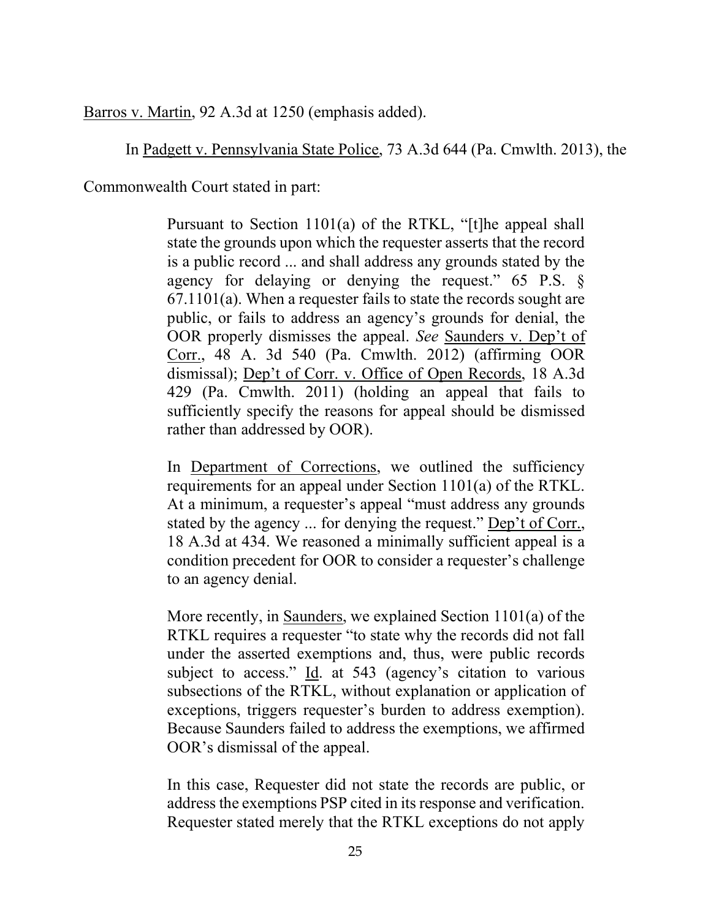Barros v. Martin, 92 A.3d at 1250 (emphasis added).

In Padgett v. Pennsylvania State Police, 73 A.3d 644 (Pa. Cmwlth. 2013), the

Commonwealth Court stated in part:

Pursuant to Section 1101(a) of the RTKL, "[t]he appeal shall state the grounds upon which the requester asserts that the record is a public record ... and shall address any grounds stated by the agency for delaying or denying the request." 65 P.S. § 67.1101(a). When a requester fails to state the records sought are public, or fails to address an agency's grounds for denial, the OOR properly dismisses the appeal. See Saunders v. Dep't of Corr., 48 A. 3d 540 (Pa. Cmwlth. 2012) (affirming OOR dismissal); Dep't of Corr. v. Office of Open Records, 18 A.3d 429 (Pa. Cmwlth. 2011) (holding an appeal that fails to sufficiently specify the reasons for appeal should be dismissed rather than addressed by OOR).

In Department of Corrections, we outlined the sufficiency requirements for an appeal under Section 1101(a) of the RTKL. At a minimum, a requester's appeal "must address any grounds stated by the agency ... for denying the request." Dep't of Corr., 18 A.3d at 434. We reasoned a minimally sufficient appeal is a condition precedent for OOR to consider a requester's challenge to an agency denial.

More recently, in Saunders, we explained Section 1101(a) of the RTKL requires a requester "to state why the records did not fall under the asserted exemptions and, thus, were public records subject to access." Id. at 543 (agency's citation to various subsections of the RTKL, without explanation or application of exceptions, triggers requester's burden to address exemption). Because Saunders failed to address the exemptions, we affirmed OOR's dismissal of the appeal.

In this case, Requester did not state the records are public, or address the exemptions PSP cited in its response and verification. Requester stated merely that the RTKL exceptions do not apply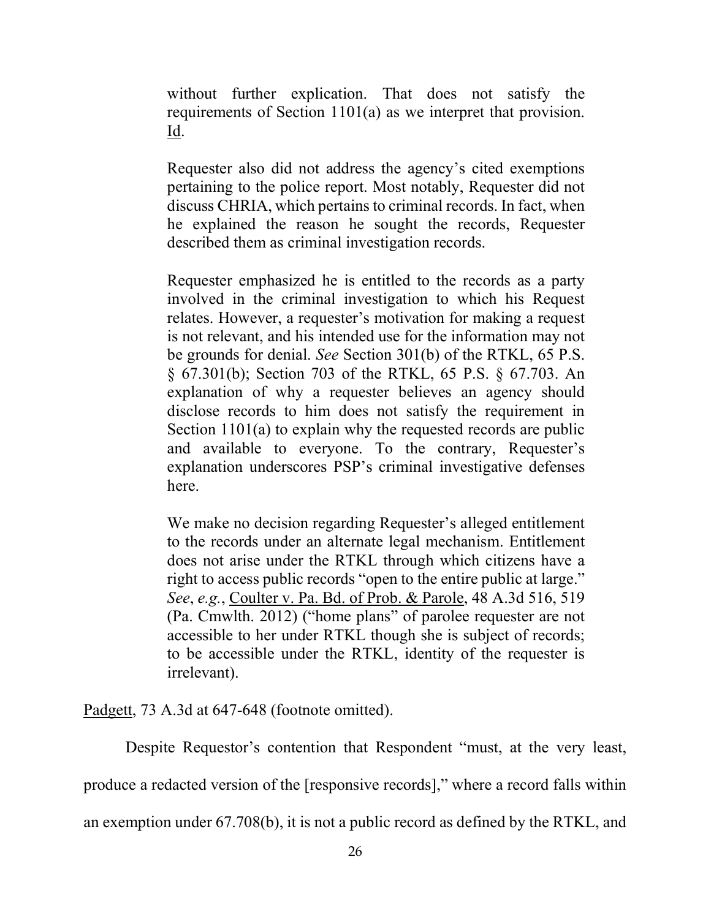without further explication. That does not satisfy the requirements of Section 1101(a) as we interpret that provision. Id.

Requester also did not address the agency's cited exemptions pertaining to the police report. Most notably, Requester did not discuss CHRIA, which pertains to criminal records. In fact, when he explained the reason he sought the records, Requester described them as criminal investigation records.

Requester emphasized he is entitled to the records as a party involved in the criminal investigation to which his Request relates. However, a requester's motivation for making a request is not relevant, and his intended use for the information may not be grounds for denial. See Section 301(b) of the RTKL, 65 P.S. § 67.301(b); Section 703 of the RTKL, 65 P.S. § 67.703. An explanation of why a requester believes an agency should disclose records to him does not satisfy the requirement in Section 1101(a) to explain why the requested records are public and available to everyone. To the contrary, Requester's explanation underscores PSP's criminal investigative defenses here.

We make no decision regarding Requester's alleged entitlement to the records under an alternate legal mechanism. Entitlement does not arise under the RTKL through which citizens have a right to access public records "open to the entire public at large." See, e.g., Coulter v. Pa. Bd. of Prob. & Parole, 48 A.3d 516, 519 (Pa. Cmwlth. 2012) ("home plans" of parolee requester are not accessible to her under RTKL though she is subject of records; to be accessible under the RTKL, identity of the requester is irrelevant).

Padgett, 73 A.3d at 647-648 (footnote omitted).

Despite Requestor's contention that Respondent "must, at the very least,

produce a redacted version of the [responsive records]," where a record falls within

an exemption under 67.708(b), it is not a public record as defined by the RTKL, and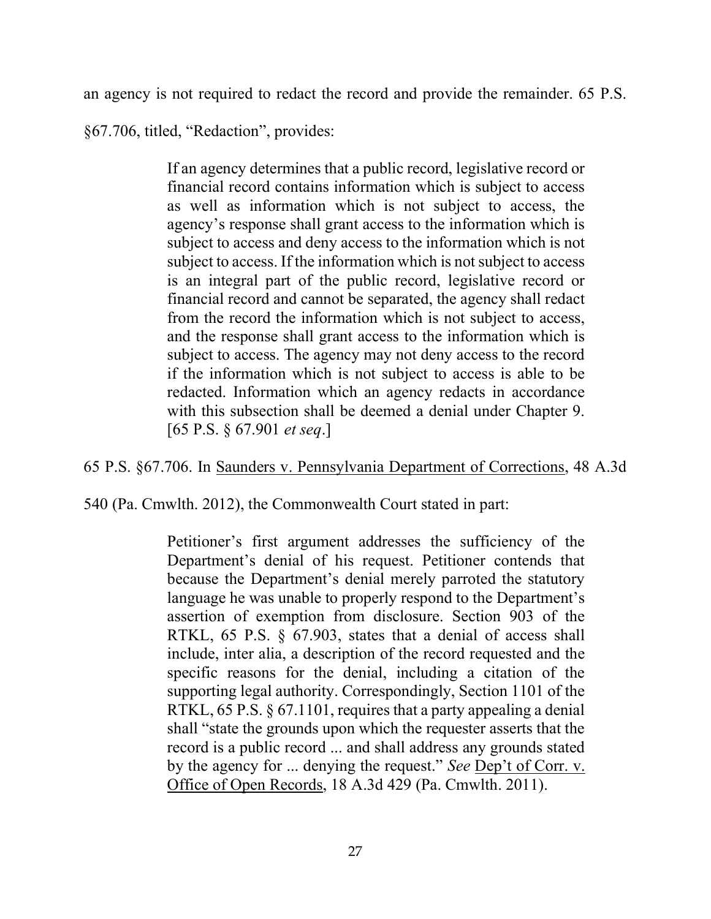an agency is not required to redact the record and provide the remainder. 65 P.S.

§67.706, titled, "Redaction", provides:

If an agency determines that a public record, legislative record or financial record contains information which is subject to access as well as information which is not subject to access, the agency's response shall grant access to the information which is subject to access and deny access to the information which is not subject to access. If the information which is not subject to access is an integral part of the public record, legislative record or financial record and cannot be separated, the agency shall redact from the record the information which is not subject to access, and the response shall grant access to the information which is subject to access. The agency may not deny access to the record if the information which is not subject to access is able to be redacted. Information which an agency redacts in accordance with this subsection shall be deemed a denial under Chapter 9. [65 P.S. § 67.901 et seq.]

65 P.S. §67.706. In Saunders v. Pennsylvania Department of Corrections, 48 A.3d

540 (Pa. Cmwlth. 2012), the Commonwealth Court stated in part:

Petitioner's first argument addresses the sufficiency of the Department's denial of his request. Petitioner contends that because the Department's denial merely parroted the statutory language he was unable to properly respond to the Department's assertion of exemption from disclosure. Section 903 of the RTKL, 65 P.S. § 67.903, states that a denial of access shall include, inter alia, a description of the record requested and the specific reasons for the denial, including a citation of the supporting legal authority. Correspondingly, Section 1101 of the RTKL, 65 P.S. § 67.1101, requires that a party appealing a denial shall "state the grounds upon which the requester asserts that the record is a public record ... and shall address any grounds stated by the agency for ... denying the request." See Dep't of Corr. v. Office of Open Records, 18 A.3d 429 (Pa. Cmwlth. 2011).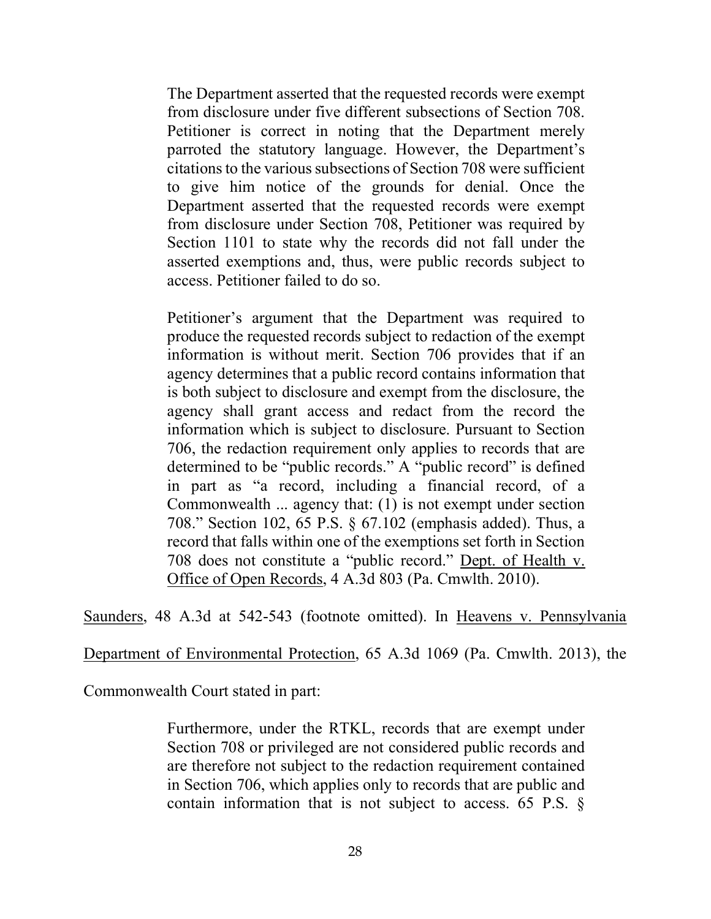The Department asserted that the requested records were exempt from disclosure under five different subsections of Section 708. Petitioner is correct in noting that the Department merely parroted the statutory language. However, the Department's citations to the various subsections of Section 708 were sufficient to give him notice of the grounds for denial. Once the Department asserted that the requested records were exempt from disclosure under Section 708, Petitioner was required by Section 1101 to state why the records did not fall under the asserted exemptions and, thus, were public records subject to access. Petitioner failed to do so.

Petitioner's argument that the Department was required to produce the requested records subject to redaction of the exempt information is without merit. Section 706 provides that if an agency determines that a public record contains information that is both subject to disclosure and exempt from the disclosure, the agency shall grant access and redact from the record the information which is subject to disclosure. Pursuant to Section 706, the redaction requirement only applies to records that are determined to be "public records." A "public record" is defined in part as "a record, including a financial record, of a Commonwealth ... agency that: (1) is not exempt under section 708." Section 102, 65 P.S. § 67.102 (emphasis added). Thus, a record that falls within one of the exemptions set forth in Section 708 does not constitute a "public record." Dept. of Health v. Office of Open Records, 4 A.3d 803 (Pa. Cmwlth. 2010).

Saunders, 48 A.3d at 542-543 (footnote omitted). In Heavens v. Pennsylvania

Department of Environmental Protection, 65 A.3d 1069 (Pa. Cmwlth. 2013), the

Commonwealth Court stated in part:

Furthermore, under the RTKL, records that are exempt under Section 708 or privileged are not considered public records and are therefore not subject to the redaction requirement contained in Section 706, which applies only to records that are public and contain information that is not subject to access. 65 P.S. §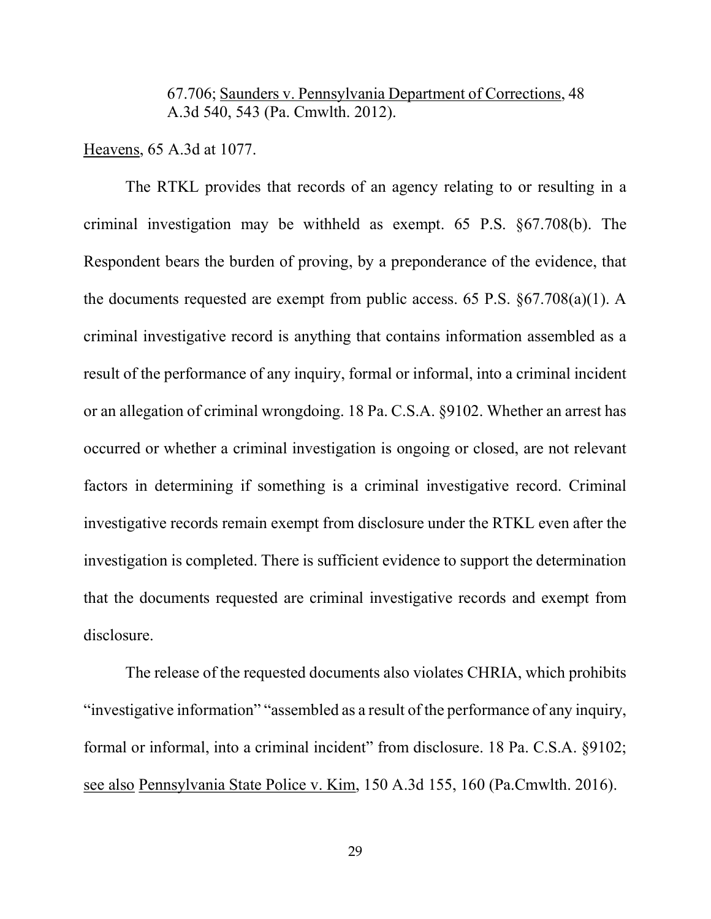### 67.706; Saunders v. Pennsylvania Department of Corrections, 48 A.3d 540, 543 (Pa. Cmwlth. 2012).

Heavens, 65 A.3d at 1077.

 The RTKL provides that records of an agency relating to or resulting in a criminal investigation may be withheld as exempt. 65 P.S. §67.708(b). The Respondent bears the burden of proving, by a preponderance of the evidence, that the documents requested are exempt from public access. 65 P.S. §67.708(a)(1). A criminal investigative record is anything that contains information assembled as a result of the performance of any inquiry, formal or informal, into a criminal incident or an allegation of criminal wrongdoing. 18 Pa. C.S.A. §9102. Whether an arrest has occurred or whether a criminal investigation is ongoing or closed, are not relevant factors in determining if something is a criminal investigative record. Criminal investigative records remain exempt from disclosure under the RTKL even after the investigation is completed. There is sufficient evidence to support the determination that the documents requested are criminal investigative records and exempt from disclosure.

 The release of the requested documents also violates CHRIA, which prohibits "investigative information" "assembled as a result of the performance of any inquiry, formal or informal, into a criminal incident" from disclosure. 18 Pa. C.S.A. §9102; see also Pennsylvania State Police v. Kim, 150 A.3d 155, 160 (Pa.Cmwlth. 2016).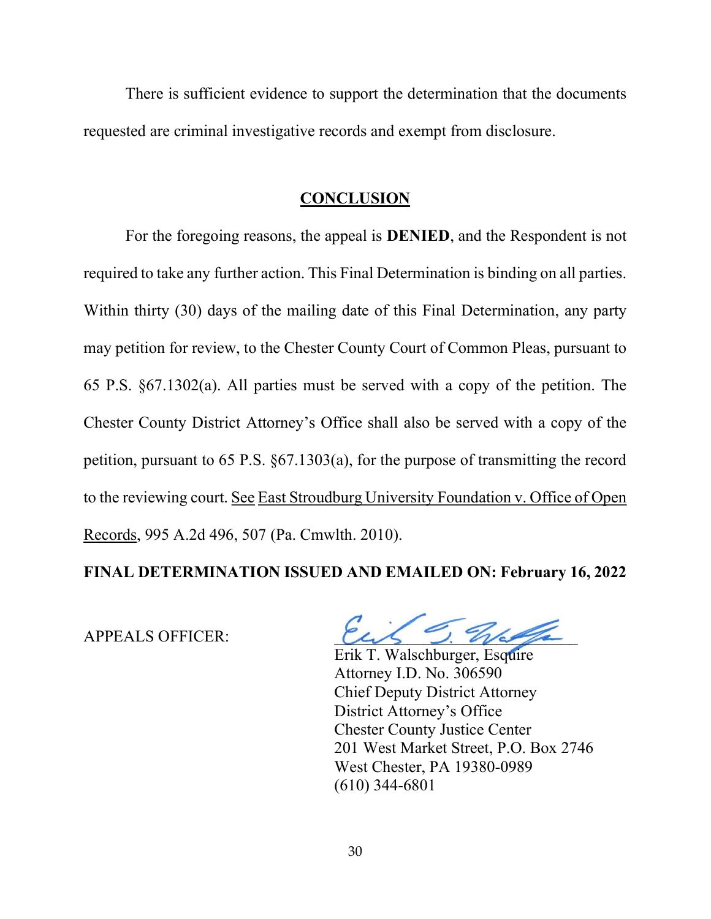There is sufficient evidence to support the determination that the documents requested are criminal investigative records and exempt from disclosure.

#### **CONCLUSION**

 For the foregoing reasons, the appeal is DENIED, and the Respondent is not required to take any further action. This Final Determination is binding on all parties. Within thirty (30) days of the mailing date of this Final Determination, any party may petition for review, to the Chester County Court of Common Pleas, pursuant to 65 P.S. §67.1302(a). All parties must be served with a copy of the petition. The Chester County District Attorney's Office shall also be served with a copy of the petition, pursuant to 65 P.S. §67.1303(a), for the purpose of transmitting the record to the reviewing court. See East Stroudburg University Foundation v. Office of Open Records, 995 A.2d 496, 507 (Pa. Cmwlth. 2010).

### FINAL DETERMINATION ISSUED AND EMAILED ON: February 16, 2022

APPEALS OFFICER:

 Erik T. Walschburger, Esquire Attorney I.D. No. 306590 Chief Deputy District Attorney District Attorney's Office Chester County Justice Center 201 West Market Street, P.O. Box 2746 West Chester, PA 19380-0989 (610) 344-6801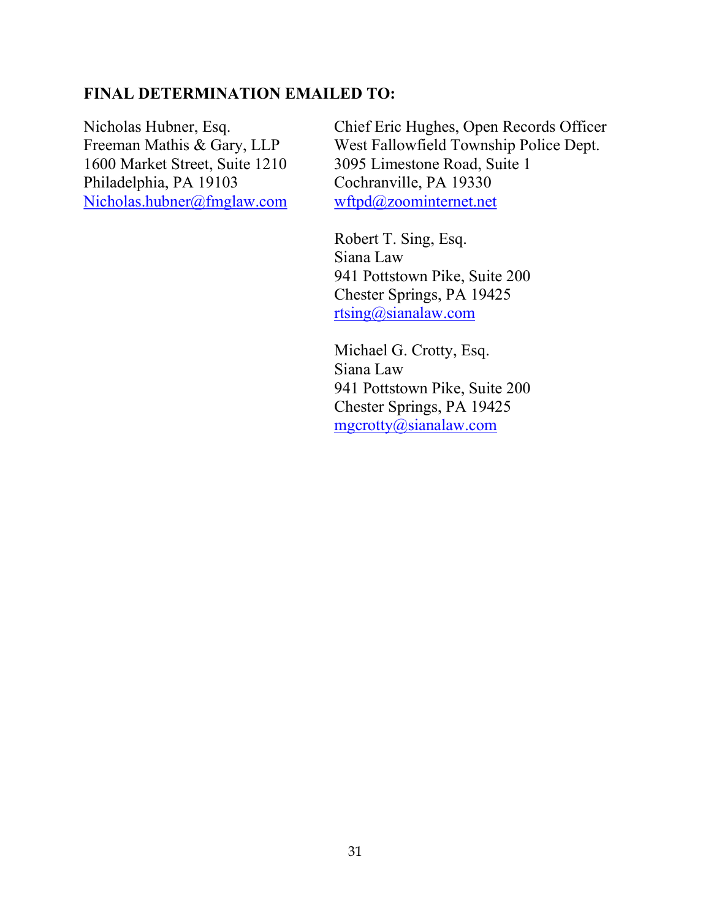# FINAL DETERMINATION EMAILED TO:

1600 Market Street, Suite 1210 3095 Limestone Road, Suite 1 Philadelphia, PA 19103 Cochranville, PA 19330 Nicholas.hubner@fmglaw.com wftpd@zoominternet.net

Nicholas Hubner, Esq. Chief Eric Hughes, Open Records Officer Freeman Mathis & Gary, LLP West Fallowfield Township Police Dept.

> Robert T. Sing, Esq. Siana Law 941 Pottstown Pike, Suite 200 Chester Springs, PA 19425 rtsing@sianalaw.com

> Michael G. Crotty, Esq. Siana Law 941 Pottstown Pike, Suite 200 Chester Springs, PA 19425 mgcrotty@sianalaw.com